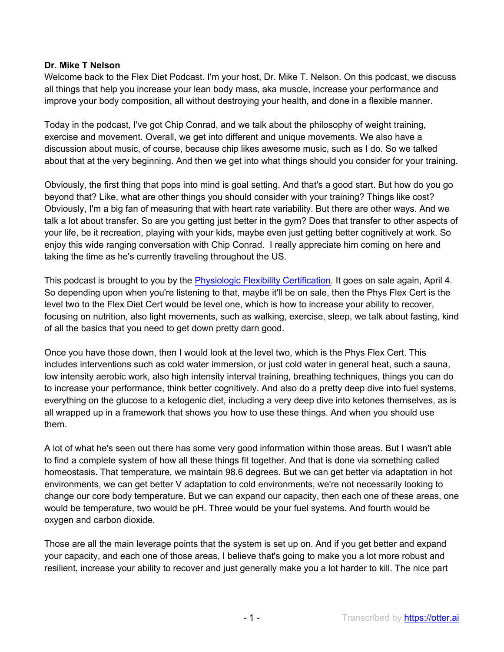### **Dr. Mike T Nelson**

Welcome back to the Flex Diet Podcast. I'm your host, Dr. Mike T. Nelson. On this podcast, we discuss all things that help you increase your lean body mass, aka muscle, increase your performance and improve your body composition, all without destroying your health, and done in a flexible manner.

Today in the podcast, I've got Chip Conrad, and we talk about the philosophy of weight training, exercise and movement. Overall, we get into different and unique movements. We also have a discussion about music, of course, because chip likes awesome music, such as I do. So we talked about that at the very beginning. And then we get into what things should you consider for your training.

Obviously, the first thing that pops into mind is goal setting. And that's a good start. But how do you go beyond that? Like, what are other things you should consider with your training? Things like cost? Obviously, I'm a big fan of measuring that with heart rate variability. But there are other ways. And we talk a lot about transfer. So are you getting just better in the gym? Does that transfer to other aspects of your life, be it recreation, playing with your kids, maybe even just getting better cognitively at work. So enjoy this wide ranging conversation with Chip Conrad. I really appreciate him coming on here and taking the time as he's currently traveling throughout the US.

This podcast is brought to you by the **Physiologic Flexibility Certification**. It goes on sale again, April 4. So depending upon when you're listening to that, maybe it'll be on sale, then the Phys Flex Cert is the level two to the Flex Diet Cert would be level one, which is how to increase your ability to recover, focusing on nutrition, also light movements, such as walking, exercise, sleep, we talk about fasting, kind of all the basics that you need to get down pretty darn good.

Once you have those down, then I would look at the level two, which is the Phys Flex Cert. This includes interventions such as cold water immersion, or just cold water in general heat, such a sauna, low intensity aerobic work, also high intensity interval training, breathing techniques, things you can do to increase your performance, think better cognitively. And also do a pretty deep dive into fuel systems, everything on the glucose to a ketogenic diet, including a very deep dive into ketones themselves, as is all wrapped up in a framework that shows you how to use these things. And when you should use them.

A lot of what he's seen out there has some very good information within those areas. But I wasn't able to find a complete system of how all these things fit together. And that is done via something called homeostasis. That temperature, we maintain 98.6 degrees. But we can get better via adaptation in hot environments, we can get better V adaptation to cold environments, we're not necessarily looking to change our core body temperature. But we can expand our capacity, then each one of these areas, one would be temperature, two would be pH. Three would be your fuel systems. And fourth would be oxygen and carbon dioxide.

Those are all the main leverage points that the system is set up on. And if you get better and expand your capacity, and each one of those areas, I believe that's going to make you a lot more robust and resilient, increase your ability to recover and just generally make you a lot harder to kill. The nice part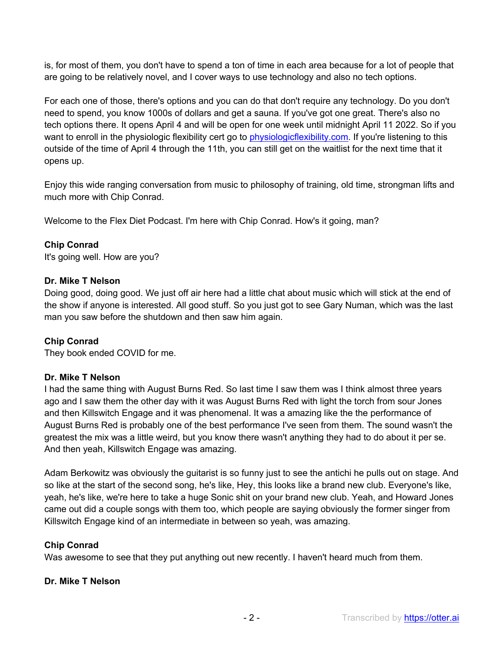is, for most of them, you don't have to spend a ton of time in each area because for a lot of people that are going to be relatively novel, and I cover ways to use technology and also no tech options.

For each one of those, there's options and you can do that don't require any technology. Do you don't need to spend, you know 1000s of dollars and get a sauna. If you've got one great. There's also no tech options there. It opens April 4 and will be open for one week until midnight April 11 2022. So if you want to enroll in the physiologic flexibility cert go to physiologicflexibility.com. If you're listening to this outside of the time of April 4 through the 11th, you can still get on the waitlist for the next time that it opens up.

Enjoy this wide ranging conversation from music to philosophy of training, old time, strongman lifts and much more with Chip Conrad.

Welcome to the Flex Diet Podcast. I'm here with Chip Conrad. How's it going, man?

# **Chip Conrad**

It's going well. How are you?

# **Dr. Mike T Nelson**

Doing good, doing good. We just off air here had a little chat about music which will stick at the end of the show if anyone is interested. All good stuff. So you just got to see Gary Numan, which was the last man you saw before the shutdown and then saw him again.

# **Chip Conrad**

They book ended COVID for me.

# **Dr. Mike T Nelson**

I had the same thing with August Burns Red. So last time I saw them was I think almost three years ago and I saw them the other day with it was August Burns Red with light the torch from sour Jones and then Killswitch Engage and it was phenomenal. It was a amazing like the the performance of August Burns Red is probably one of the best performance I've seen from them. The sound wasn't the greatest the mix was a little weird, but you know there wasn't anything they had to do about it per se. And then yeah, Killswitch Engage was amazing.

Adam Berkowitz was obviously the guitarist is so funny just to see the antichi he pulls out on stage. And so like at the start of the second song, he's like, Hey, this looks like a brand new club. Everyone's like, yeah, he's like, we're here to take a huge Sonic shit on your brand new club. Yeah, and Howard Jones came out did a couple songs with them too, which people are saying obviously the former singer from Killswitch Engage kind of an intermediate in between so yeah, was amazing.

#### **Chip Conrad**

Was awesome to see that they put anything out new recently. I haven't heard much from them.

#### **Dr. Mike T Nelson**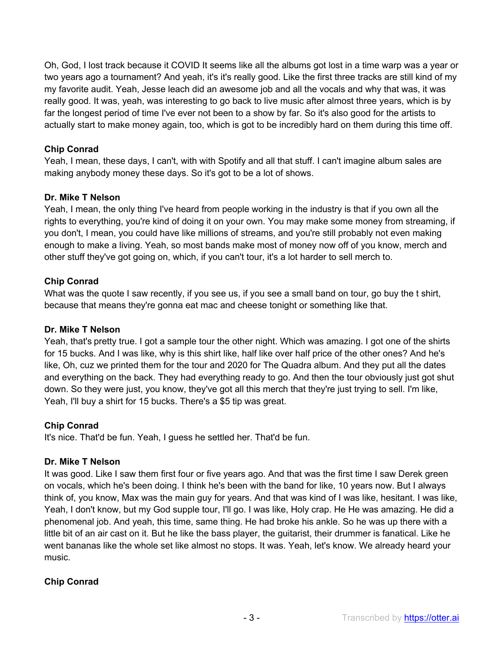Oh, God, I lost track because it COVID It seems like all the albums got lost in a time warp was a year or two years ago a tournament? And yeah, it's it's really good. Like the first three tracks are still kind of my my favorite audit. Yeah, Jesse leach did an awesome job and all the vocals and why that was, it was really good. It was, yeah, was interesting to go back to live music after almost three years, which is by far the longest period of time I've ever not been to a show by far. So it's also good for the artists to actually start to make money again, too, which is got to be incredibly hard on them during this time off.

# **Chip Conrad**

Yeah, I mean, these days, I can't, with with Spotify and all that stuff. I can't imagine album sales are making anybody money these days. So it's got to be a lot of shows.

# **Dr. Mike T Nelson**

Yeah, I mean, the only thing I've heard from people working in the industry is that if you own all the rights to everything, you're kind of doing it on your own. You may make some money from streaming, if you don't, I mean, you could have like millions of streams, and you're still probably not even making enough to make a living. Yeah, so most bands make most of money now off of you know, merch and other stuff they've got going on, which, if you can't tour, it's a lot harder to sell merch to.

# **Chip Conrad**

What was the quote I saw recently, if you see us, if you see a small band on tour, go buy the t shirt, because that means they're gonna eat mac and cheese tonight or something like that.

# **Dr. Mike T Nelson**

Yeah, that's pretty true. I got a sample tour the other night. Which was amazing. I got one of the shirts for 15 bucks. And I was like, why is this shirt like, half like over half price of the other ones? And he's like, Oh, cuz we printed them for the tour and 2020 for The Quadra album. And they put all the dates and everything on the back. They had everything ready to go. And then the tour obviously just got shut down. So they were just, you know, they've got all this merch that they're just trying to sell. I'm like, Yeah, I'll buy a shirt for 15 bucks. There's a \$5 tip was great.

# **Chip Conrad**

It's nice. That'd be fun. Yeah, I guess he settled her. That'd be fun.

# **Dr. Mike T Nelson**

It was good. Like I saw them first four or five years ago. And that was the first time I saw Derek green on vocals, which he's been doing. I think he's been with the band for like, 10 years now. But I always think of, you know, Max was the main guy for years. And that was kind of I was like, hesitant. I was like, Yeah, I don't know, but my God supple tour, I'll go. I was like, Holy crap. He He was amazing. He did a phenomenal job. And yeah, this time, same thing. He had broke his ankle. So he was up there with a little bit of an air cast on it. But he like the bass player, the guitarist, their drummer is fanatical. Like he went bananas like the whole set like almost no stops. It was. Yeah, let's know. We already heard your music.

# **Chip Conrad**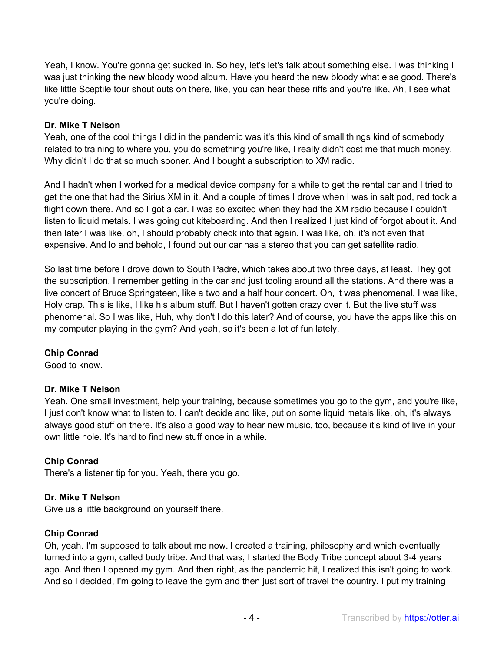Yeah, I know. You're gonna get sucked in. So hey, let's let's talk about something else. I was thinking I was just thinking the new bloody wood album. Have you heard the new bloody what else good. There's like little Sceptile tour shout outs on there, like, you can hear these riffs and you're like, Ah, I see what you're doing.

### **Dr. Mike T Nelson**

Yeah, one of the cool things I did in the pandemic was it's this kind of small things kind of somebody related to training to where you, you do something you're like, I really didn't cost me that much money. Why didn't I do that so much sooner. And I bought a subscription to XM radio.

And I hadn't when I worked for a medical device company for a while to get the rental car and I tried to get the one that had the Sirius XM in it. And a couple of times I drove when I was in salt pod, red took a flight down there. And so I got a car. I was so excited when they had the XM radio because I couldn't listen to liquid metals. I was going out kiteboarding. And then I realized I just kind of forgot about it. And then later I was like, oh, I should probably check into that again. I was like, oh, it's not even that expensive. And lo and behold, I found out our car has a stereo that you can get satellite radio.

So last time before I drove down to South Padre, which takes about two three days, at least. They got the subscription. I remember getting in the car and just tooling around all the stations. And there was a live concert of Bruce Springsteen, like a two and a half hour concert. Oh, it was phenomenal. I was like, Holy crap. This is like, I like his album stuff. But I haven't gotten crazy over it. But the live stuff was phenomenal. So I was like, Huh, why don't I do this later? And of course, you have the apps like this on my computer playing in the gym? And yeah, so it's been a lot of fun lately.

# **Chip Conrad**

Good to know.

# **Dr. Mike T Nelson**

Yeah. One small investment, help your training, because sometimes you go to the gym, and you're like, I just don't know what to listen to. I can't decide and like, put on some liquid metals like, oh, it's always always good stuff on there. It's also a good way to hear new music, too, because it's kind of live in your own little hole. It's hard to find new stuff once in a while.

# **Chip Conrad**

There's a listener tip for you. Yeah, there you go.

# **Dr. Mike T Nelson**

Give us a little background on yourself there.

# **Chip Conrad**

Oh, yeah. I'm supposed to talk about me now. I created a training, philosophy and which eventually turned into a gym, called body tribe. And that was, I started the Body Tribe concept about 3-4 years ago. And then I opened my gym. And then right, as the pandemic hit, I realized this isn't going to work. And so I decided, I'm going to leave the gym and then just sort of travel the country. I put my training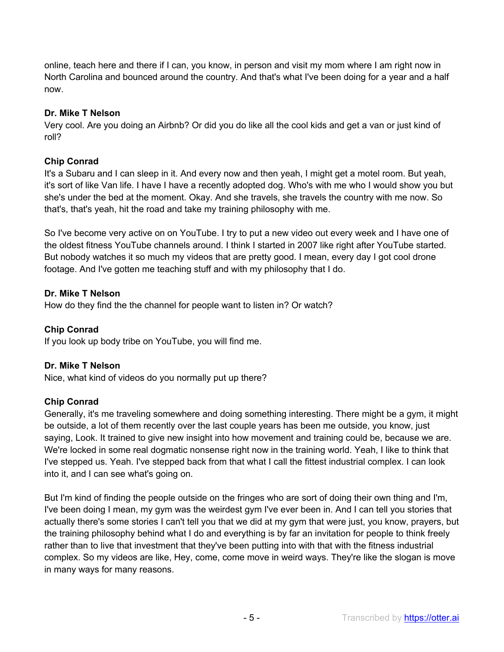online, teach here and there if I can, you know, in person and visit my mom where I am right now in North Carolina and bounced around the country. And that's what I've been doing for a year and a half now.

#### **Dr. Mike T Nelson**

Very cool. Are you doing an Airbnb? Or did you do like all the cool kids and get a van or just kind of roll?

# **Chip Conrad**

It's a Subaru and I can sleep in it. And every now and then yeah, I might get a motel room. But yeah, it's sort of like Van life. I have I have a recently adopted dog. Who's with me who I would show you but she's under the bed at the moment. Okay. And she travels, she travels the country with me now. So that's, that's yeah, hit the road and take my training philosophy with me.

So I've become very active on on YouTube. I try to put a new video out every week and I have one of the oldest fitness YouTube channels around. I think I started in 2007 like right after YouTube started. But nobody watches it so much my videos that are pretty good. I mean, every day I got cool drone footage. And I've gotten me teaching stuff and with my philosophy that I do.

# **Dr. Mike T Nelson**

How do they find the the channel for people want to listen in? Or watch?

# **Chip Conrad**

If you look up body tribe on YouTube, you will find me.

# **Dr. Mike T Nelson**

Nice, what kind of videos do you normally put up there?

# **Chip Conrad**

Generally, it's me traveling somewhere and doing something interesting. There might be a gym, it might be outside, a lot of them recently over the last couple years has been me outside, you know, just saying, Look. It trained to give new insight into how movement and training could be, because we are. We're locked in some real dogmatic nonsense right now in the training world. Yeah, I like to think that I've stepped us. Yeah. I've stepped back from that what I call the fittest industrial complex. I can look into it, and I can see what's going on.

But I'm kind of finding the people outside on the fringes who are sort of doing their own thing and I'm, I've been doing I mean, my gym was the weirdest gym I've ever been in. And I can tell you stories that actually there's some stories I can't tell you that we did at my gym that were just, you know, prayers, but the training philosophy behind what I do and everything is by far an invitation for people to think freely rather than to live that investment that they've been putting into with that with the fitness industrial complex. So my videos are like, Hey, come, come move in weird ways. They're like the slogan is move in many ways for many reasons.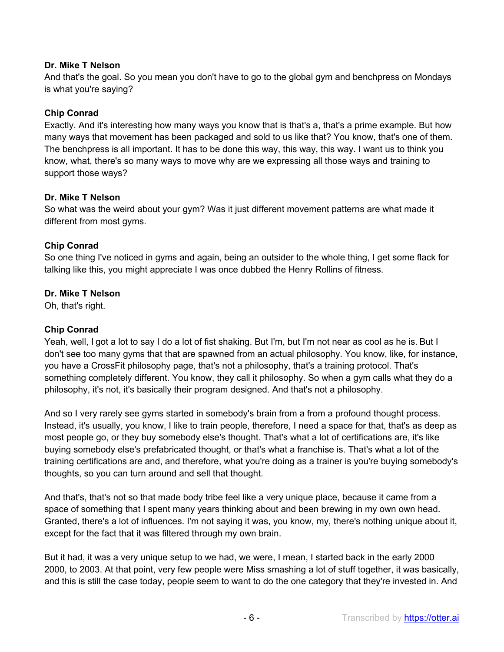### **Dr. Mike T Nelson**

And that's the goal. So you mean you don't have to go to the global gym and benchpress on Mondays is what you're saying?

### **Chip Conrad**

Exactly. And it's interesting how many ways you know that is that's a, that's a prime example. But how many ways that movement has been packaged and sold to us like that? You know, that's one of them. The benchpress is all important. It has to be done this way, this way, this way. I want us to think you know, what, there's so many ways to move why are we expressing all those ways and training to support those ways?

#### **Dr. Mike T Nelson**

So what was the weird about your gym? Was it just different movement patterns are what made it different from most gyms.

### **Chip Conrad**

So one thing I've noticed in gyms and again, being an outsider to the whole thing, I get some flack for talking like this, you might appreciate I was once dubbed the Henry Rollins of fitness.

### **Dr. Mike T Nelson**

Oh, that's right.

#### **Chip Conrad**

Yeah, well, I got a lot to say I do a lot of fist shaking. But I'm, but I'm not near as cool as he is. But I don't see too many gyms that that are spawned from an actual philosophy. You know, like, for instance, you have a CrossFit philosophy page, that's not a philosophy, that's a training protocol. That's something completely different. You know, they call it philosophy. So when a gym calls what they do a philosophy, it's not, it's basically their program designed. And that's not a philosophy.

And so I very rarely see gyms started in somebody's brain from a from a profound thought process. Instead, it's usually, you know, I like to train people, therefore, I need a space for that, that's as deep as most people go, or they buy somebody else's thought. That's what a lot of certifications are, it's like buying somebody else's prefabricated thought, or that's what a franchise is. That's what a lot of the training certifications are and, and therefore, what you're doing as a trainer is you're buying somebody's thoughts, so you can turn around and sell that thought.

And that's, that's not so that made body tribe feel like a very unique place, because it came from a space of something that I spent many years thinking about and been brewing in my own own head. Granted, there's a lot of influences. I'm not saying it was, you know, my, there's nothing unique about it, except for the fact that it was filtered through my own brain.

But it had, it was a very unique setup to we had, we were, I mean, I started back in the early 2000 2000, to 2003. At that point, very few people were Miss smashing a lot of stuff together, it was basically, and this is still the case today, people seem to want to do the one category that they're invested in. And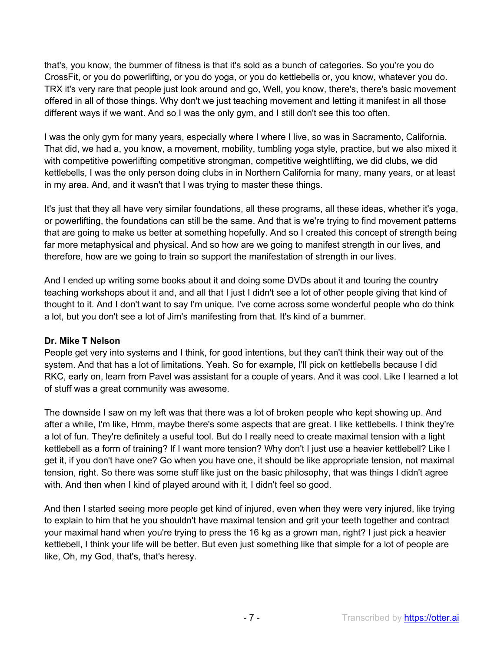that's, you know, the bummer of fitness is that it's sold as a bunch of categories. So you're you do CrossFit, or you do powerlifting, or you do yoga, or you do kettlebells or, you know, whatever you do. TRX it's very rare that people just look around and go, Well, you know, there's, there's basic movement offered in all of those things. Why don't we just teaching movement and letting it manifest in all those different ways if we want. And so I was the only gym, and I still don't see this too often.

I was the only gym for many years, especially where I where I live, so was in Sacramento, California. That did, we had a, you know, a movement, mobility, tumbling yoga style, practice, but we also mixed it with competitive powerlifting competitive strongman, competitive weightlifting, we did clubs, we did kettlebells, I was the only person doing clubs in in Northern California for many, many years, or at least in my area. And, and it wasn't that I was trying to master these things.

It's just that they all have very similar foundations, all these programs, all these ideas, whether it's yoga, or powerlifting, the foundations can still be the same. And that is we're trying to find movement patterns that are going to make us better at something hopefully. And so I created this concept of strength being far more metaphysical and physical. And so how are we going to manifest strength in our lives, and therefore, how are we going to train so support the manifestation of strength in our lives.

And I ended up writing some books about it and doing some DVDs about it and touring the country teaching workshops about it and, and all that I just I didn't see a lot of other people giving that kind of thought to it. And I don't want to say I'm unique. I've come across some wonderful people who do think a lot, but you don't see a lot of Jim's manifesting from that. It's kind of a bummer.

#### **Dr. Mike T Nelson**

People get very into systems and I think, for good intentions, but they can't think their way out of the system. And that has a lot of limitations. Yeah. So for example, I'll pick on kettlebells because I did RKC, early on, learn from Pavel was assistant for a couple of years. And it was cool. Like I learned a lot of stuff was a great community was awesome.

The downside I saw on my left was that there was a lot of broken people who kept showing up. And after a while, I'm like, Hmm, maybe there's some aspects that are great. I like kettlebells. I think they're a lot of fun. They're definitely a useful tool. But do I really need to create maximal tension with a light kettlebell as a form of training? If I want more tension? Why don't I just use a heavier kettlebell? Like I get it, if you don't have one? Go when you have one, it should be like appropriate tension, not maximal tension, right. So there was some stuff like just on the basic philosophy, that was things I didn't agree with. And then when I kind of played around with it, I didn't feel so good.

And then I started seeing more people get kind of injured, even when they were very injured, like trying to explain to him that he you shouldn't have maximal tension and grit your teeth together and contract your maximal hand when you're trying to press the 16 kg as a grown man, right? I just pick a heavier kettlebell, I think your life will be better. But even just something like that simple for a lot of people are like, Oh, my God, that's, that's heresy.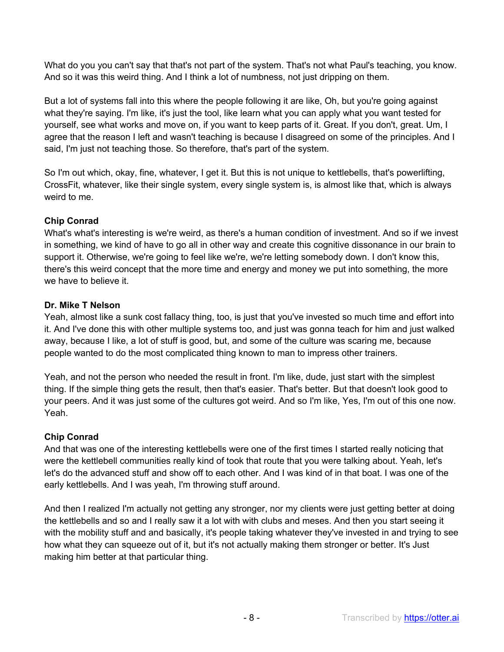What do you you can't say that that's not part of the system. That's not what Paul's teaching, you know. And so it was this weird thing. And I think a lot of numbness, not just dripping on them.

But a lot of systems fall into this where the people following it are like, Oh, but you're going against what they're saying. I'm like, it's just the tool, like learn what you can apply what you want tested for yourself, see what works and move on, if you want to keep parts of it. Great. If you don't, great. Um, I agree that the reason I left and wasn't teaching is because I disagreed on some of the principles. And I said, I'm just not teaching those. So therefore, that's part of the system.

So I'm out which, okay, fine, whatever, I get it. But this is not unique to kettlebells, that's powerlifting, CrossFit, whatever, like their single system, every single system is, is almost like that, which is always weird to me.

# **Chip Conrad**

What's what's interesting is we're weird, as there's a human condition of investment. And so if we invest in something, we kind of have to go all in other way and create this cognitive dissonance in our brain to support it. Otherwise, we're going to feel like we're, we're letting somebody down. I don't know this, there's this weird concept that the more time and energy and money we put into something, the more we have to believe it.

# **Dr. Mike T Nelson**

Yeah, almost like a sunk cost fallacy thing, too, is just that you've invested so much time and effort into it. And I've done this with other multiple systems too, and just was gonna teach for him and just walked away, because I like, a lot of stuff is good, but, and some of the culture was scaring me, because people wanted to do the most complicated thing known to man to impress other trainers.

Yeah, and not the person who needed the result in front. I'm like, dude, just start with the simplest thing. If the simple thing gets the result, then that's easier. That's better. But that doesn't look good to your peers. And it was just some of the cultures got weird. And so I'm like, Yes, I'm out of this one now. Yeah.

# **Chip Conrad**

And that was one of the interesting kettlebells were one of the first times I started really noticing that were the kettlebell communities really kind of took that route that you were talking about. Yeah, let's let's do the advanced stuff and show off to each other. And I was kind of in that boat. I was one of the early kettlebells. And I was yeah, I'm throwing stuff around.

And then I realized I'm actually not getting any stronger, nor my clients were just getting better at doing the kettlebells and so and I really saw it a lot with with clubs and meses. And then you start seeing it with the mobility stuff and and basically, it's people taking whatever they've invested in and trying to see how what they can squeeze out of it, but it's not actually making them stronger or better. It's Just making him better at that particular thing.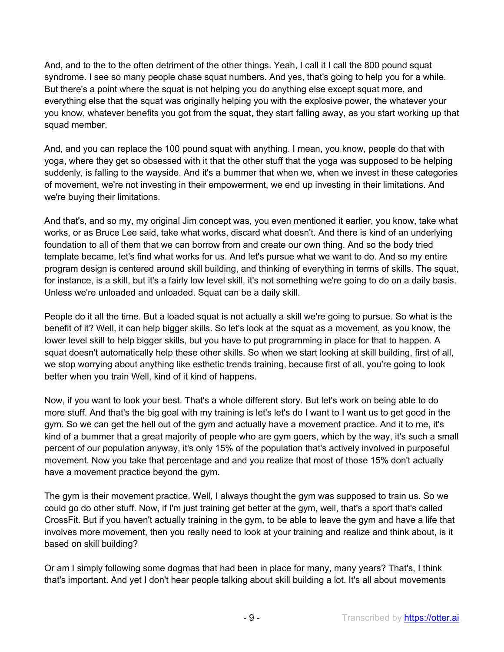And, and to the to the often detriment of the other things. Yeah, I call it I call the 800 pound squat syndrome. I see so many people chase squat numbers. And yes, that's going to help you for a while. But there's a point where the squat is not helping you do anything else except squat more, and everything else that the squat was originally helping you with the explosive power, the whatever your you know, whatever benefits you got from the squat, they start falling away, as you start working up that squad member.

And, and you can replace the 100 pound squat with anything. I mean, you know, people do that with yoga, where they get so obsessed with it that the other stuff that the yoga was supposed to be helping suddenly, is falling to the wayside. And it's a bummer that when we, when we invest in these categories of movement, we're not investing in their empowerment, we end up investing in their limitations. And we're buying their limitations.

And that's, and so my, my original Jim concept was, you even mentioned it earlier, you know, take what works, or as Bruce Lee said, take what works, discard what doesn't. And there is kind of an underlying foundation to all of them that we can borrow from and create our own thing. And so the body tried template became, let's find what works for us. And let's pursue what we want to do. And so my entire program design is centered around skill building, and thinking of everything in terms of skills. The squat, for instance, is a skill, but it's a fairly low level skill, it's not something we're going to do on a daily basis. Unless we're unloaded and unloaded. Squat can be a daily skill.

People do it all the time. But a loaded squat is not actually a skill we're going to pursue. So what is the benefit of it? Well, it can help bigger skills. So let's look at the squat as a movement, as you know, the lower level skill to help bigger skills, but you have to put programming in place for that to happen. A squat doesn't automatically help these other skills. So when we start looking at skill building, first of all, we stop worrying about anything like esthetic trends training, because first of all, you're going to look better when you train Well, kind of it kind of happens.

Now, if you want to look your best. That's a whole different story. But let's work on being able to do more stuff. And that's the big goal with my training is let's let's do I want to I want us to get good in the gym. So we can get the hell out of the gym and actually have a movement practice. And it to me, it's kind of a bummer that a great majority of people who are gym goers, which by the way, it's such a small percent of our population anyway, it's only 15% of the population that's actively involved in purposeful movement. Now you take that percentage and and you realize that most of those 15% don't actually have a movement practice beyond the gym.

The gym is their movement practice. Well, I always thought the gym was supposed to train us. So we could go do other stuff. Now, if I'm just training get better at the gym, well, that's a sport that's called CrossFit. But if you haven't actually training in the gym, to be able to leave the gym and have a life that involves more movement, then you really need to look at your training and realize and think about, is it based on skill building?

Or am I simply following some dogmas that had been in place for many, many years? That's, I think that's important. And yet I don't hear people talking about skill building a lot. It's all about movements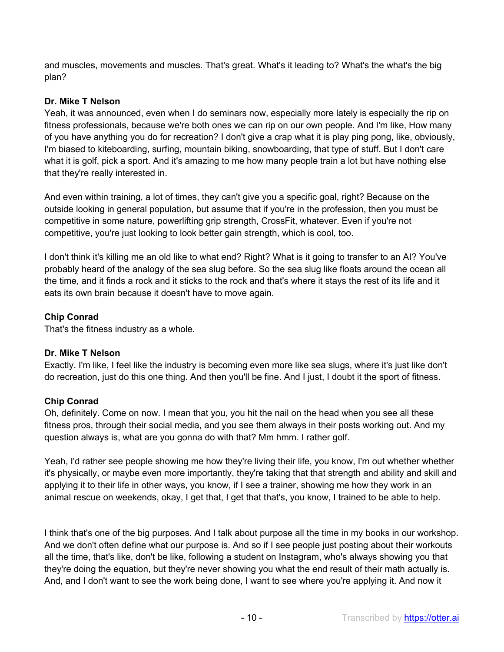and muscles, movements and muscles. That's great. What's it leading to? What's the what's the big plan?

# **Dr. Mike T Nelson**

Yeah, it was announced, even when I do seminars now, especially more lately is especially the rip on fitness professionals, because we're both ones we can rip on our own people. And I'm like, How many of you have anything you do for recreation? I don't give a crap what it is play ping pong, like, obviously, I'm biased to kiteboarding, surfing, mountain biking, snowboarding, that type of stuff. But I don't care what it is golf, pick a sport. And it's amazing to me how many people train a lot but have nothing else that they're really interested in.

And even within training, a lot of times, they can't give you a specific goal, right? Because on the outside looking in general population, but assume that if you're in the profession, then you must be competitive in some nature, powerlifting grip strength, CrossFit, whatever. Even if you're not competitive, you're just looking to look better gain strength, which is cool, too.

I don't think it's killing me an old like to what end? Right? What is it going to transfer to an AI? You've probably heard of the analogy of the sea slug before. So the sea slug like floats around the ocean all the time, and it finds a rock and it sticks to the rock and that's where it stays the rest of its life and it eats its own brain because it doesn't have to move again.

# **Chip Conrad**

That's the fitness industry as a whole.

# **Dr. Mike T Nelson**

Exactly. I'm like, I feel like the industry is becoming even more like sea slugs, where it's just like don't do recreation, just do this one thing. And then you'll be fine. And I just, I doubt it the sport of fitness.

# **Chip Conrad**

Oh, definitely. Come on now. I mean that you, you hit the nail on the head when you see all these fitness pros, through their social media, and you see them always in their posts working out. And my question always is, what are you gonna do with that? Mm hmm. I rather golf.

Yeah, I'd rather see people showing me how they're living their life, you know, I'm out whether whether it's physically, or maybe even more importantly, they're taking that that strength and ability and skill and applying it to their life in other ways, you know, if I see a trainer, showing me how they work in an animal rescue on weekends, okay, I get that, I get that that's, you know, I trained to be able to help.

I think that's one of the big purposes. And I talk about purpose all the time in my books in our workshop. And we don't often define what our purpose is. And so if I see people just posting about their workouts all the time, that's like, don't be like, following a student on Instagram, who's always showing you that they're doing the equation, but they're never showing you what the end result of their math actually is. And, and I don't want to see the work being done, I want to see where you're applying it. And now it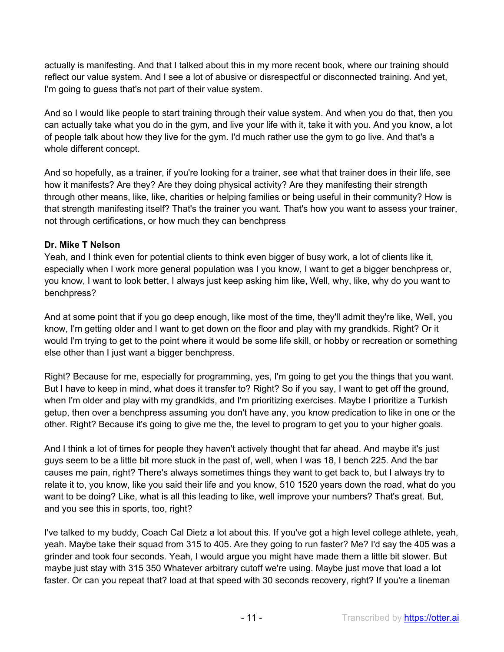actually is manifesting. And that I talked about this in my more recent book, where our training should reflect our value system. And I see a lot of abusive or disrespectful or disconnected training. And yet, I'm going to guess that's not part of their value system.

And so I would like people to start training through their value system. And when you do that, then you can actually take what you do in the gym, and live your life with it, take it with you. And you know, a lot of people talk about how they live for the gym. I'd much rather use the gym to go live. And that's a whole different concept.

And so hopefully, as a trainer, if you're looking for a trainer, see what that trainer does in their life, see how it manifests? Are they? Are they doing physical activity? Are they manifesting their strength through other means, like, like, charities or helping families or being useful in their community? How is that strength manifesting itself? That's the trainer you want. That's how you want to assess your trainer, not through certifications, or how much they can benchpress

# **Dr. Mike T Nelson**

Yeah, and I think even for potential clients to think even bigger of busy work, a lot of clients like it, especially when I work more general population was I you know, I want to get a bigger benchpress or, you know, I want to look better, I always just keep asking him like, Well, why, like, why do you want to benchpress?

And at some point that if you go deep enough, like most of the time, they'll admit they're like, Well, you know, I'm getting older and I want to get down on the floor and play with my grandkids. Right? Or it would I'm trying to get to the point where it would be some life skill, or hobby or recreation or something else other than I just want a bigger benchpress.

Right? Because for me, especially for programming, yes, I'm going to get you the things that you want. But I have to keep in mind, what does it transfer to? Right? So if you say, I want to get off the ground, when I'm older and play with my grandkids, and I'm prioritizing exercises. Maybe I prioritize a Turkish getup, then over a benchpress assuming you don't have any, you know predication to like in one or the other. Right? Because it's going to give me the, the level to program to get you to your higher goals.

And I think a lot of times for people they haven't actively thought that far ahead. And maybe it's just guys seem to be a little bit more stuck in the past of, well, when I was 18, I bench 225. And the bar causes me pain, right? There's always sometimes things they want to get back to, but I always try to relate it to, you know, like you said their life and you know, 510 1520 years down the road, what do you want to be doing? Like, what is all this leading to like, well improve your numbers? That's great. But, and you see this in sports, too, right?

I've talked to my buddy, Coach Cal Dietz a lot about this. If you've got a high level college athlete, yeah, yeah. Maybe take their squad from 315 to 405. Are they going to run faster? Me? I'd say the 405 was a grinder and took four seconds. Yeah, I would argue you might have made them a little bit slower. But maybe just stay with 315 350 Whatever arbitrary cutoff we're using. Maybe just move that load a lot faster. Or can you repeat that? load at that speed with 30 seconds recovery, right? If you're a lineman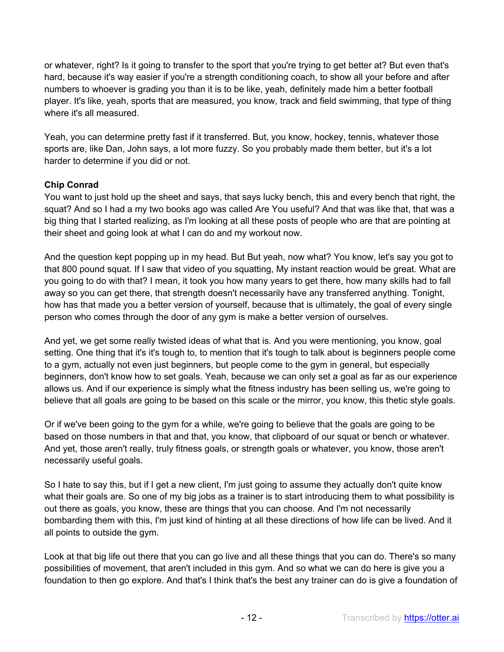or whatever, right? Is it going to transfer to the sport that you're trying to get better at? But even that's hard, because it's way easier if you're a strength conditioning coach, to show all your before and after numbers to whoever is grading you than it is to be like, yeah, definitely made him a better football player. It's like, yeah, sports that are measured, you know, track and field swimming, that type of thing where it's all measured.

Yeah, you can determine pretty fast if it transferred. But, you know, hockey, tennis, whatever those sports are, like Dan, John says, a lot more fuzzy. So you probably made them better, but it's a lot harder to determine if you did or not.

# **Chip Conrad**

You want to just hold up the sheet and says, that says lucky bench, this and every bench that right, the squat? And so I had a my two books ago was called Are You useful? And that was like that, that was a big thing that I started realizing, as I'm looking at all these posts of people who are that are pointing at their sheet and going look at what I can do and my workout now.

And the question kept popping up in my head. But But yeah, now what? You know, let's say you got to that 800 pound squat. If I saw that video of you squatting, My instant reaction would be great. What are you going to do with that? I mean, it took you how many years to get there, how many skills had to fall away so you can get there, that strength doesn't necessarily have any transferred anything. Tonight, how has that made you a better version of yourself, because that is ultimately, the goal of every single person who comes through the door of any gym is make a better version of ourselves.

And yet, we get some really twisted ideas of what that is. And you were mentioning, you know, goal setting. One thing that it's it's tough to, to mention that it's tough to talk about is beginners people come to a gym, actually not even just beginners, but people come to the gym in general, but especially beginners, don't know how to set goals. Yeah, because we can only set a goal as far as our experience allows us. And if our experience is simply what the fitness industry has been selling us, we're going to believe that all goals are going to be based on this scale or the mirror, you know, this thetic style goals.

Or if we've been going to the gym for a while, we're going to believe that the goals are going to be based on those numbers in that and that, you know, that clipboard of our squat or bench or whatever. And yet, those aren't really, truly fitness goals, or strength goals or whatever, you know, those aren't necessarily useful goals.

So I hate to say this, but if I get a new client, I'm just going to assume they actually don't quite know what their goals are. So one of my big jobs as a trainer is to start introducing them to what possibility is out there as goals, you know, these are things that you can choose. And I'm not necessarily bombarding them with this, I'm just kind of hinting at all these directions of how life can be lived. And it all points to outside the gym.

Look at that big life out there that you can go live and all these things that you can do. There's so many possibilities of movement, that aren't included in this gym. And so what we can do here is give you a foundation to then go explore. And that's I think that's the best any trainer can do is give a foundation of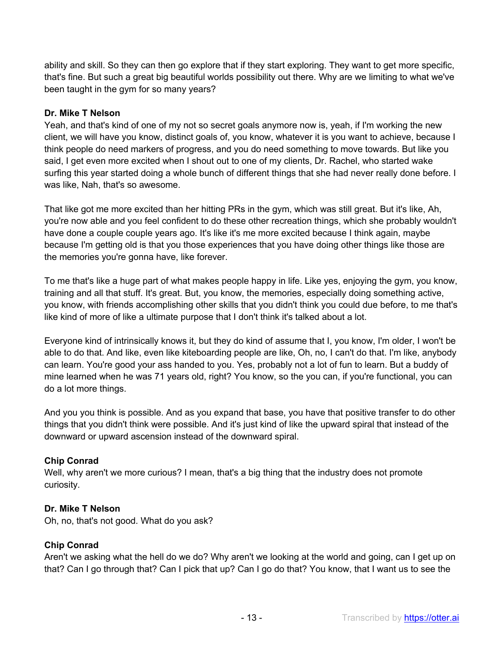ability and skill. So they can then go explore that if they start exploring. They want to get more specific, that's fine. But such a great big beautiful worlds possibility out there. Why are we limiting to what we've been taught in the gym for so many years?

#### **Dr. Mike T Nelson**

Yeah, and that's kind of one of my not so secret goals anymore now is, yeah, if I'm working the new client, we will have you know, distinct goals of, you know, whatever it is you want to achieve, because I think people do need markers of progress, and you do need something to move towards. But like you said, I get even more excited when I shout out to one of my clients, Dr. Rachel, who started wake surfing this year started doing a whole bunch of different things that she had never really done before. I was like, Nah, that's so awesome.

That like got me more excited than her hitting PRs in the gym, which was still great. But it's like, Ah, you're now able and you feel confident to do these other recreation things, which she probably wouldn't have done a couple couple years ago. It's like it's me more excited because I think again, maybe because I'm getting old is that you those experiences that you have doing other things like those are the memories you're gonna have, like forever.

To me that's like a huge part of what makes people happy in life. Like yes, enjoying the gym, you know, training and all that stuff. It's great. But, you know, the memories, especially doing something active, you know, with friends accomplishing other skills that you didn't think you could due before, to me that's like kind of more of like a ultimate purpose that I don't think it's talked about a lot.

Everyone kind of intrinsically knows it, but they do kind of assume that I, you know, I'm older, I won't be able to do that. And like, even like kiteboarding people are like, Oh, no, I can't do that. I'm like, anybody can learn. You're good your ass handed to you. Yes, probably not a lot of fun to learn. But a buddy of mine learned when he was 71 years old, right? You know, so the you can, if you're functional, you can do a lot more things.

And you you think is possible. And as you expand that base, you have that positive transfer to do other things that you didn't think were possible. And it's just kind of like the upward spiral that instead of the downward or upward ascension instead of the downward spiral.

#### **Chip Conrad**

Well, why aren't we more curious? I mean, that's a big thing that the industry does not promote curiosity.

#### **Dr. Mike T Nelson**

Oh, no, that's not good. What do you ask?

#### **Chip Conrad**

Aren't we asking what the hell do we do? Why aren't we looking at the world and going, can I get up on that? Can I go through that? Can I pick that up? Can I go do that? You know, that I want us to see the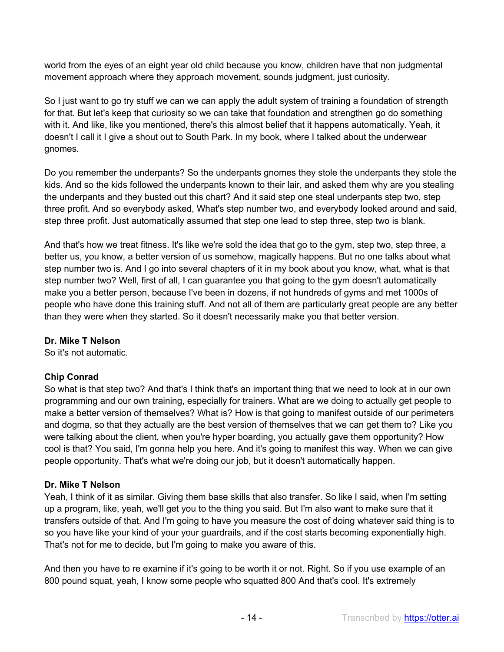world from the eyes of an eight year old child because you know, children have that non judgmental movement approach where they approach movement, sounds judgment, just curiosity.

So I just want to go try stuff we can we can apply the adult system of training a foundation of strength for that. But let's keep that curiosity so we can take that foundation and strengthen go do something with it. And like, like you mentioned, there's this almost belief that it happens automatically. Yeah, it doesn't I call it I give a shout out to South Park. In my book, where I talked about the underwear gnomes.

Do you remember the underpants? So the underpants gnomes they stole the underpants they stole the kids. And so the kids followed the underpants known to their lair, and asked them why are you stealing the underpants and they busted out this chart? And it said step one steal underpants step two, step three profit. And so everybody asked, What's step number two, and everybody looked around and said, step three profit. Just automatically assumed that step one lead to step three, step two is blank.

And that's how we treat fitness. It's like we're sold the idea that go to the gym, step two, step three, a better us, you know, a better version of us somehow, magically happens. But no one talks about what step number two is. And I go into several chapters of it in my book about you know, what, what is that step number two? Well, first of all, I can guarantee you that going to the gym doesn't automatically make you a better person, because I've been in dozens, if not hundreds of gyms and met 1000s of people who have done this training stuff. And not all of them are particularly great people are any better than they were when they started. So it doesn't necessarily make you that better version.

# **Dr. Mike T Nelson**

So it's not automatic.

# **Chip Conrad**

So what is that step two? And that's I think that's an important thing that we need to look at in our own programming and our own training, especially for trainers. What are we doing to actually get people to make a better version of themselves? What is? How is that going to manifest outside of our perimeters and dogma, so that they actually are the best version of themselves that we can get them to? Like you were talking about the client, when you're hyper boarding, you actually gave them opportunity? How cool is that? You said, I'm gonna help you here. And it's going to manifest this way. When we can give people opportunity. That's what we're doing our job, but it doesn't automatically happen.

#### **Dr. Mike T Nelson**

Yeah, I think of it as similar. Giving them base skills that also transfer. So like I said, when I'm setting up a program, like, yeah, we'll get you to the thing you said. But I'm also want to make sure that it transfers outside of that. And I'm going to have you measure the cost of doing whatever said thing is to so you have like your kind of your your guardrails, and if the cost starts becoming exponentially high. That's not for me to decide, but I'm going to make you aware of this.

And then you have to re examine if it's going to be worth it or not. Right. So if you use example of an 800 pound squat, yeah, I know some people who squatted 800 And that's cool. It's extremely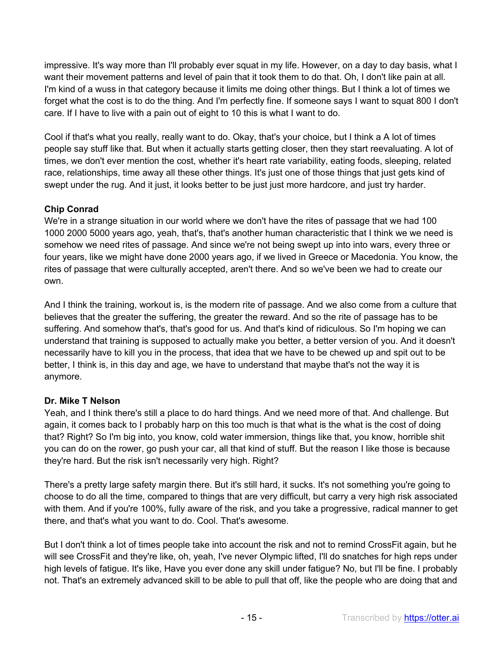impressive. It's way more than I'll probably ever squat in my life. However, on a day to day basis, what I want their movement patterns and level of pain that it took them to do that. Oh, I don't like pain at all. I'm kind of a wuss in that category because it limits me doing other things. But I think a lot of times we forget what the cost is to do the thing. And I'm perfectly fine. If someone says I want to squat 800 I don't care. If I have to live with a pain out of eight to 10 this is what I want to do.

Cool if that's what you really, really want to do. Okay, that's your choice, but I think a A lot of times people say stuff like that. But when it actually starts getting closer, then they start reevaluating. A lot of times, we don't ever mention the cost, whether it's heart rate variability, eating foods, sleeping, related race, relationships, time away all these other things. It's just one of those things that just gets kind of swept under the rug. And it just, it looks better to be just just more hardcore, and just try harder.

# **Chip Conrad**

We're in a strange situation in our world where we don't have the rites of passage that we had 100 1000 2000 5000 years ago, yeah, that's, that's another human characteristic that I think we we need is somehow we need rites of passage. And since we're not being swept up into into wars, every three or four years, like we might have done 2000 years ago, if we lived in Greece or Macedonia. You know, the rites of passage that were culturally accepted, aren't there. And so we've been we had to create our own.

And I think the training, workout is, is the modern rite of passage. And we also come from a culture that believes that the greater the suffering, the greater the reward. And so the rite of passage has to be suffering. And somehow that's, that's good for us. And that's kind of ridiculous. So I'm hoping we can understand that training is supposed to actually make you better, a better version of you. And it doesn't necessarily have to kill you in the process, that idea that we have to be chewed up and spit out to be better, I think is, in this day and age, we have to understand that maybe that's not the way it is anymore.

# **Dr. Mike T Nelson**

Yeah, and I think there's still a place to do hard things. And we need more of that. And challenge. But again, it comes back to I probably harp on this too much is that what is the what is the cost of doing that? Right? So I'm big into, you know, cold water immersion, things like that, you know, horrible shit you can do on the rower, go push your car, all that kind of stuff. But the reason I like those is because they're hard. But the risk isn't necessarily very high. Right?

There's a pretty large safety margin there. But it's still hard, it sucks. It's not something you're going to choose to do all the time, compared to things that are very difficult, but carry a very high risk associated with them. And if you're 100%, fully aware of the risk, and you take a progressive, radical manner to get there, and that's what you want to do. Cool. That's awesome.

But I don't think a lot of times people take into account the risk and not to remind CrossFit again, but he will see CrossFit and they're like, oh, yeah, I've never Olympic lifted, I'll do snatches for high reps under high levels of fatigue. It's like, Have you ever done any skill under fatigue? No, but I'll be fine. I probably not. That's an extremely advanced skill to be able to pull that off, like the people who are doing that and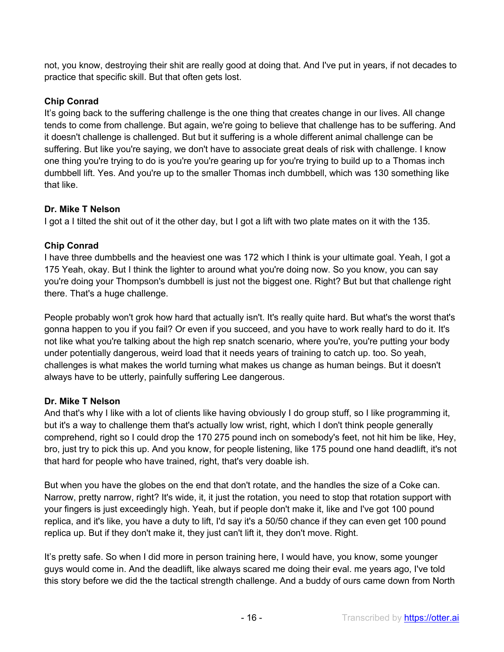not, you know, destroying their shit are really good at doing that. And I've put in years, if not decades to practice that specific skill. But that often gets lost.

# **Chip Conrad**

It's going back to the suffering challenge is the one thing that creates change in our lives. All change tends to come from challenge. But again, we're going to believe that challenge has to be suffering. And it doesn't challenge is challenged. But but it suffering is a whole different animal challenge can be suffering. But like you're saying, we don't have to associate great deals of risk with challenge. I know one thing you're trying to do is you're you're gearing up for you're trying to build up to a Thomas inch dumbbell lift. Yes. And you're up to the smaller Thomas inch dumbbell, which was 130 something like that like.

# **Dr. Mike T Nelson**

I got a I tilted the shit out of it the other day, but I got a lift with two plate mates on it with the 135.

# **Chip Conrad**

I have three dumbbells and the heaviest one was 172 which I think is your ultimate goal. Yeah, I got a 175 Yeah, okay. But I think the lighter to around what you're doing now. So you know, you can say you're doing your Thompson's dumbbell is just not the biggest one. Right? But but that challenge right there. That's a huge challenge.

People probably won't grok how hard that actually isn't. It's really quite hard. But what's the worst that's gonna happen to you if you fail? Or even if you succeed, and you have to work really hard to do it. It's not like what you're talking about the high rep snatch scenario, where you're, you're putting your body under potentially dangerous, weird load that it needs years of training to catch up. too. So yeah, challenges is what makes the world turning what makes us change as human beings. But it doesn't always have to be utterly, painfully suffering Lee dangerous.

# **Dr. Mike T Nelson**

And that's why I like with a lot of clients like having obviously I do group stuff, so I like programming it, but it's a way to challenge them that's actually low wrist, right, which I don't think people generally comprehend, right so I could drop the 170 275 pound inch on somebody's feet, not hit him be like, Hey, bro, just try to pick this up. And you know, for people listening, like 175 pound one hand deadlift, it's not that hard for people who have trained, right, that's very doable ish.

But when you have the globes on the end that don't rotate, and the handles the size of a Coke can. Narrow, pretty narrow, right? It's wide, it, it just the rotation, you need to stop that rotation support with your fingers is just exceedingly high. Yeah, but if people don't make it, like and I've got 100 pound replica, and it's like, you have a duty to lift, I'd say it's a 50/50 chance if they can even get 100 pound replica up. But if they don't make it, they just can't lift it, they don't move. Right.

It's pretty safe. So when I did more in person training here, I would have, you know, some younger guys would come in. And the deadlift, like always scared me doing their eval. me years ago, I've told this story before we did the the tactical strength challenge. And a buddy of ours came down from North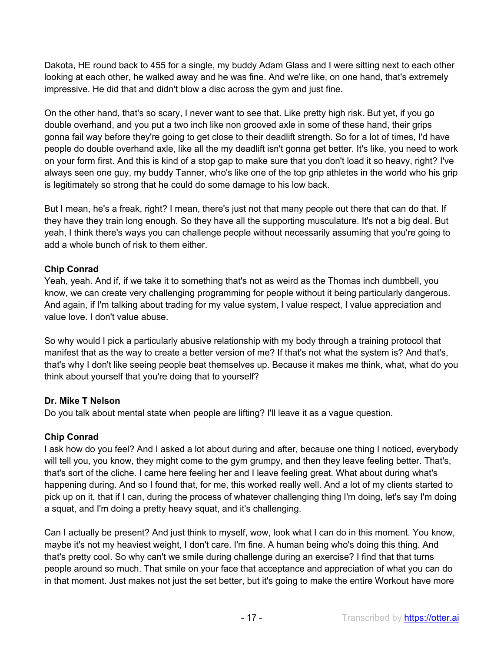Dakota, HE round back to 455 for a single, my buddy Adam Glass and I were sitting next to each other looking at each other, he walked away and he was fine. And we're like, on one hand, that's extremely impressive. He did that and didn't blow a disc across the gym and just fine.

On the other hand, that's so scary, I never want to see that. Like pretty high risk. But yet, if you go double overhand, and you put a two inch like non grooved axle in some of these hand, their grips gonna fail way before they're going to get close to their deadlift strength. So for a lot of times, I'd have people do double overhand axle, like all the my deadlift isn't gonna get better. It's like, you need to work on your form first. And this is kind of a stop gap to make sure that you don't load it so heavy, right? I've always seen one guy, my buddy Tanner, who's like one of the top grip athletes in the world who his grip is legitimately so strong that he could do some damage to his low back.

But I mean, he's a freak, right? I mean, there's just not that many people out there that can do that. If they have they train long enough. So they have all the supporting musculature. It's not a big deal. But yeah, I think there's ways you can challenge people without necessarily assuming that you're going to add a whole bunch of risk to them either.

# **Chip Conrad**

Yeah, yeah. And if, if we take it to something that's not as weird as the Thomas inch dumbbell, you know, we can create very challenging programming for people without it being particularly dangerous. And again, if I'm talking about trading for my value system, I value respect, I value appreciation and value love. I don't value abuse.

So why would I pick a particularly abusive relationship with my body through a training protocol that manifest that as the way to create a better version of me? If that's not what the system is? And that's, that's why I don't like seeing people beat themselves up. Because it makes me think, what, what do you think about yourself that you're doing that to yourself?

# **Dr. Mike T Nelson**

Do you talk about mental state when people are lifting? I'll leave it as a vague question.

# **Chip Conrad**

I ask how do you feel? And I asked a lot about during and after, because one thing I noticed, everybody will tell you, you know, they might come to the gym grumpy, and then they leave feeling better. That's, that's sort of the cliche. I came here feeling her and I leave feeling great. What about during what's happening during. And so I found that, for me, this worked really well. And a lot of my clients started to pick up on it, that if I can, during the process of whatever challenging thing I'm doing, let's say I'm doing a squat, and I'm doing a pretty heavy squat, and it's challenging.

Can I actually be present? And just think to myself, wow, look what I can do in this moment. You know, maybe it's not my heaviest weight, I don't care. I'm fine. A human being who's doing this thing. And that's pretty cool. So why can't we smile during challenge during an exercise? I find that that turns people around so much. That smile on your face that acceptance and appreciation of what you can do in that moment. Just makes not just the set better, but it's going to make the entire Workout have more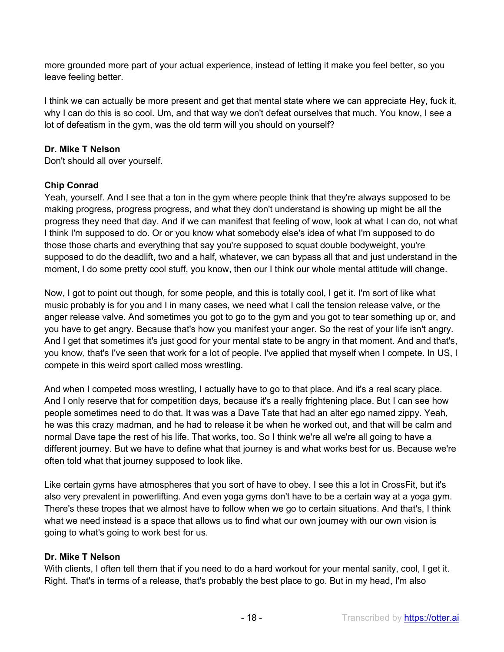more grounded more part of your actual experience, instead of letting it make you feel better, so you leave feeling better.

I think we can actually be more present and get that mental state where we can appreciate Hey, fuck it, why I can do this is so cool. Um, and that way we don't defeat ourselves that much. You know, I see a lot of defeatism in the gym, was the old term will you should on yourself?

### **Dr. Mike T Nelson**

Don't should all over yourself.

# **Chip Conrad**

Yeah, yourself. And I see that a ton in the gym where people think that they're always supposed to be making progress, progress progress, and what they don't understand is showing up might be all the progress they need that day. And if we can manifest that feeling of wow, look at what I can do, not what I think I'm supposed to do. Or or you know what somebody else's idea of what I'm supposed to do those those charts and everything that say you're supposed to squat double bodyweight, you're supposed to do the deadlift, two and a half, whatever, we can bypass all that and just understand in the moment, I do some pretty cool stuff, you know, then our I think our whole mental attitude will change.

Now, I got to point out though, for some people, and this is totally cool, I get it. I'm sort of like what music probably is for you and I in many cases, we need what I call the tension release valve, or the anger release valve. And sometimes you got to go to the gym and you got to tear something up or, and you have to get angry. Because that's how you manifest your anger. So the rest of your life isn't angry. And I get that sometimes it's just good for your mental state to be angry in that moment. And and that's, you know, that's I've seen that work for a lot of people. I've applied that myself when I compete. In US, I compete in this weird sport called moss wrestling.

And when I competed moss wrestling, I actually have to go to that place. And it's a real scary place. And I only reserve that for competition days, because it's a really frightening place. But I can see how people sometimes need to do that. It was was a Dave Tate that had an alter ego named zippy. Yeah, he was this crazy madman, and he had to release it be when he worked out, and that will be calm and normal Dave tape the rest of his life. That works, too. So I think we're all we're all going to have a different journey. But we have to define what that journey is and what works best for us. Because we're often told what that journey supposed to look like.

Like certain gyms have atmospheres that you sort of have to obey. I see this a lot in CrossFit, but it's also very prevalent in powerlifting. And even yoga gyms don't have to be a certain way at a yoga gym. There's these tropes that we almost have to follow when we go to certain situations. And that's, I think what we need instead is a space that allows us to find what our own journey with our own vision is going to what's going to work best for us.

#### **Dr. Mike T Nelson**

With clients, I often tell them that if you need to do a hard workout for your mental sanity, cool, I get it. Right. That's in terms of a release, that's probably the best place to go. But in my head, I'm also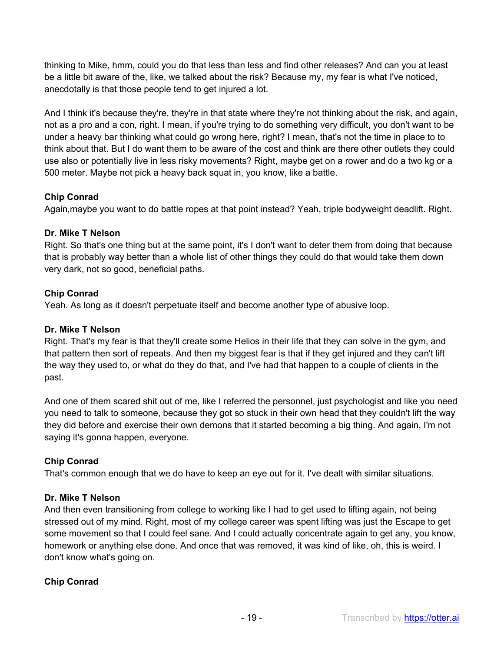thinking to Mike, hmm, could you do that less than less and find other releases? And can you at least be a little bit aware of the, like, we talked about the risk? Because my, my fear is what I've noticed, anecdotally is that those people tend to get injured a lot.

And I think it's because they're, they're in that state where they're not thinking about the risk, and again, not as a pro and a con, right. I mean, if you're trying to do something very difficult, you don't want to be under a heavy bar thinking what could go wrong here, right? I mean, that's not the time in place to to think about that. But I do want them to be aware of the cost and think are there other outlets they could use also or potentially live in less risky movements? Right, maybe get on a rower and do a two kg or a 500 meter. Maybe not pick a heavy back squat in, you know, like a battle.

# **Chip Conrad**

Again,maybe you want to do battle ropes at that point instead? Yeah, triple bodyweight deadlift. Right.

# **Dr. Mike T Nelson**

Right. So that's one thing but at the same point, it's I don't want to deter them from doing that because that is probably way better than a whole list of other things they could do that would take them down very dark, not so good, beneficial paths.

# **Chip Conrad**

Yeah. As long as it doesn't perpetuate itself and become another type of abusive loop.

# **Dr. Mike T Nelson**

Right. That's my fear is that they'll create some Helios in their life that they can solve in the gym, and that pattern then sort of repeats. And then my biggest fear is that if they get injured and they can't lift the way they used to, or what do they do that, and I've had that happen to a couple of clients in the past.

And one of them scared shit out of me, like I referred the personnel, just psychologist and like you need you need to talk to someone, because they got so stuck in their own head that they couldn't lift the way they did before and exercise their own demons that it started becoming a big thing. And again, I'm not saying it's gonna happen, everyone.

# **Chip Conrad**

That's common enough that we do have to keep an eye out for it. I've dealt with similar situations.

# **Dr. Mike T Nelson**

And then even transitioning from college to working like I had to get used to lifting again, not being stressed out of my mind. Right, most of my college career was spent lifting was just the Escape to get some movement so that I could feel sane. And I could actually concentrate again to get any, you know, homework or anything else done. And once that was removed, it was kind of like, oh, this is weird. I don't know what's going on.

# **Chip Conrad**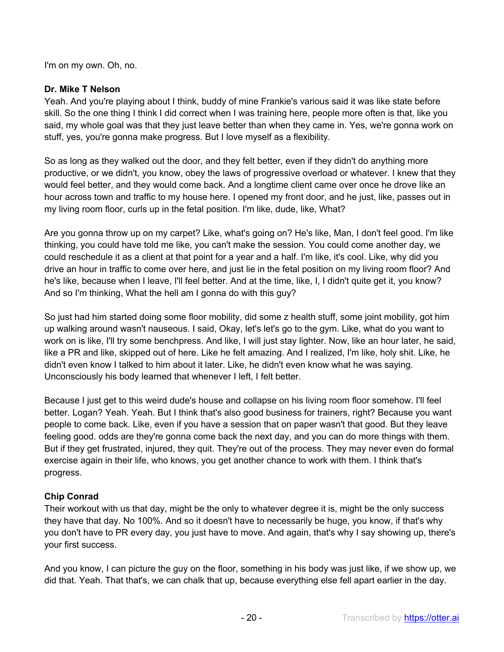I'm on my own. Oh, no.

### **Dr. Mike T Nelson**

Yeah. And you're playing about I think, buddy of mine Frankie's various said it was like state before skill. So the one thing I think I did correct when I was training here, people more often is that, like you said, my whole goal was that they just leave better than when they came in. Yes, we're gonna work on stuff, yes, you're gonna make progress. But I love myself as a flexibility.

So as long as they walked out the door, and they felt better, even if they didn't do anything more productive, or we didn't, you know, obey the laws of progressive overload or whatever. I knew that they would feel better, and they would come back. And a longtime client came over once he drove like an hour across town and traffic to my house here. I opened my front door, and he just, like, passes out in my living room floor, curls up in the fetal position. I'm like, dude, like, What?

Are you gonna throw up on my carpet? Like, what's going on? He's like, Man, I don't feel good. I'm like thinking, you could have told me like, you can't make the session. You could come another day, we could reschedule it as a client at that point for a year and a half. I'm like, it's cool. Like, why did you drive an hour in traffic to come over here, and just lie in the fetal position on my living room floor? And he's like, because when I leave, I'll feel better. And at the time, like, I, I didn't quite get it, you know? And so I'm thinking, What the hell am I gonna do with this guy?

So just had him started doing some floor mobility, did some z health stuff, some joint mobility, got him up walking around wasn't nauseous. I said, Okay, let's let's go to the gym. Like, what do you want to work on is like, I'll try some benchpress. And like, I will just stay lighter. Now, like an hour later, he said, like a PR and like, skipped out of here. Like he felt amazing. And I realized, I'm like, holy shit. Like, he didn't even know I talked to him about it later. Like, he didn't even know what he was saying. Unconsciously his body learned that whenever I left, I felt better.

Because I just get to this weird dude's house and collapse on his living room floor somehow. I'll feel better. Logan? Yeah. Yeah. But I think that's also good business for trainers, right? Because you want people to come back. Like, even if you have a session that on paper wasn't that good. But they leave feeling good. odds are they're gonna come back the next day, and you can do more things with them. But if they get frustrated, injured, they quit. They're out of the process. They may never even do formal exercise again in their life, who knows, you get another chance to work with them. I think that's progress.

# **Chip Conrad**

Their workout with us that day, might be the only to whatever degree it is, might be the only success they have that day. No 100%. And so it doesn't have to necessarily be huge, you know, if that's why you don't have to PR every day, you just have to move. And again, that's why I say showing up, there's your first success.

And you know, I can picture the guy on the floor, something in his body was just like, if we show up, we did that. Yeah. That that's, we can chalk that up, because everything else fell apart earlier in the day.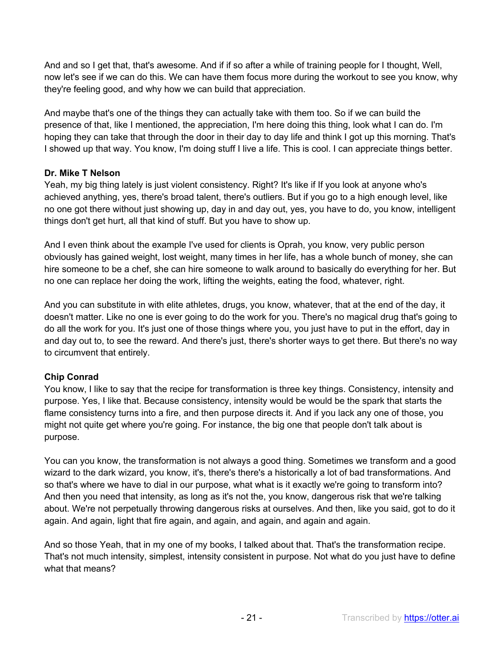And and so I get that, that's awesome. And if if so after a while of training people for I thought, Well, now let's see if we can do this. We can have them focus more during the workout to see you know, why they're feeling good, and why how we can build that appreciation.

And maybe that's one of the things they can actually take with them too. So if we can build the presence of that, like I mentioned, the appreciation, I'm here doing this thing, look what I can do. I'm hoping they can take that through the door in their day to day life and think I got up this morning. That's I showed up that way. You know, I'm doing stuff I live a life. This is cool. I can appreciate things better.

# **Dr. Mike T Nelson**

Yeah, my big thing lately is just violent consistency. Right? It's like if If you look at anyone who's achieved anything, yes, there's broad talent, there's outliers. But if you go to a high enough level, like no one got there without just showing up, day in and day out, yes, you have to do, you know, intelligent things don't get hurt, all that kind of stuff. But you have to show up.

And I even think about the example I've used for clients is Oprah, you know, very public person obviously has gained weight, lost weight, many times in her life, has a whole bunch of money, she can hire someone to be a chef, she can hire someone to walk around to basically do everything for her. But no one can replace her doing the work, lifting the weights, eating the food, whatever, right.

And you can substitute in with elite athletes, drugs, you know, whatever, that at the end of the day, it doesn't matter. Like no one is ever going to do the work for you. There's no magical drug that's going to do all the work for you. It's just one of those things where you, you just have to put in the effort, day in and day out to, to see the reward. And there's just, there's shorter ways to get there. But there's no way to circumvent that entirely.

# **Chip Conrad**

You know, I like to say that the recipe for transformation is three key things. Consistency, intensity and purpose. Yes, I like that. Because consistency, intensity would be would be the spark that starts the flame consistency turns into a fire, and then purpose directs it. And if you lack any one of those, you might not quite get where you're going. For instance, the big one that people don't talk about is purpose.

You can you know, the transformation is not always a good thing. Sometimes we transform and a good wizard to the dark wizard, you know, it's, there's there's a historically a lot of bad transformations. And so that's where we have to dial in our purpose, what what is it exactly we're going to transform into? And then you need that intensity, as long as it's not the, you know, dangerous risk that we're talking about. We're not perpetually throwing dangerous risks at ourselves. And then, like you said, got to do it again. And again, light that fire again, and again, and again, and again and again.

And so those Yeah, that in my one of my books, I talked about that. That's the transformation recipe. That's not much intensity, simplest, intensity consistent in purpose. Not what do you just have to define what that means?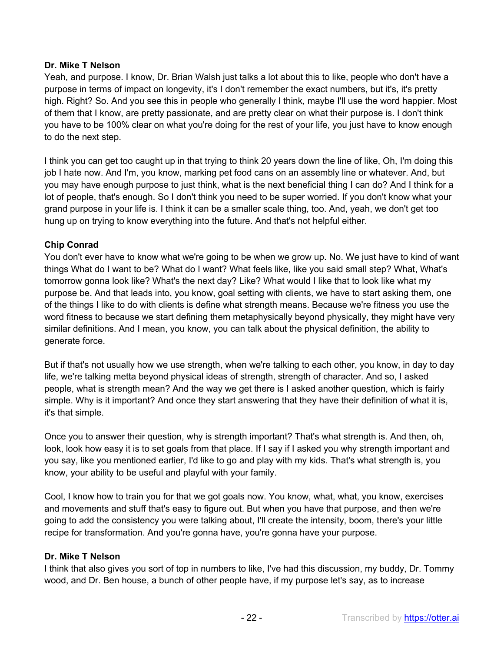### **Dr. Mike T Nelson**

Yeah, and purpose. I know, Dr. Brian Walsh just talks a lot about this to like, people who don't have a purpose in terms of impact on longevity, it's I don't remember the exact numbers, but it's, it's pretty high. Right? So. And you see this in people who generally I think, maybe I'll use the word happier. Most of them that I know, are pretty passionate, and are pretty clear on what their purpose is. I don't think you have to be 100% clear on what you're doing for the rest of your life, you just have to know enough to do the next step.

I think you can get too caught up in that trying to think 20 years down the line of like, Oh, I'm doing this job I hate now. And I'm, you know, marking pet food cans on an assembly line or whatever. And, but you may have enough purpose to just think, what is the next beneficial thing I can do? And I think for a lot of people, that's enough. So I don't think you need to be super worried. If you don't know what your grand purpose in your life is. I think it can be a smaller scale thing, too. And, yeah, we don't get too hung up on trying to know everything into the future. And that's not helpful either.

### **Chip Conrad**

You don't ever have to know what we're going to be when we grow up. No. We just have to kind of want things What do I want to be? What do I want? What feels like, like you said small step? What, What's tomorrow gonna look like? What's the next day? Like? What would I like that to look like what my purpose be. And that leads into, you know, goal setting with clients, we have to start asking them, one of the things I like to do with clients is define what strength means. Because we're fitness you use the word fitness to because we start defining them metaphysically beyond physically, they might have very similar definitions. And I mean, you know, you can talk about the physical definition, the ability to generate force.

But if that's not usually how we use strength, when we're talking to each other, you know, in day to day life, we're talking metta beyond physical ideas of strength, strength of character. And so, I asked people, what is strength mean? And the way we get there is I asked another question, which is fairly simple. Why is it important? And once they start answering that they have their definition of what it is, it's that simple.

Once you to answer their question, why is strength important? That's what strength is. And then, oh, look, look how easy it is to set goals from that place. If I say if I asked you why strength important and you say, like you mentioned earlier, I'd like to go and play with my kids. That's what strength is, you know, your ability to be useful and playful with your family.

Cool, I know how to train you for that we got goals now. You know, what, what, you know, exercises and movements and stuff that's easy to figure out. But when you have that purpose, and then we're going to add the consistency you were talking about, I'll create the intensity, boom, there's your little recipe for transformation. And you're gonna have, you're gonna have your purpose.

#### **Dr. Mike T Nelson**

I think that also gives you sort of top in numbers to like, I've had this discussion, my buddy, Dr. Tommy wood, and Dr. Ben house, a bunch of other people have, if my purpose let's say, as to increase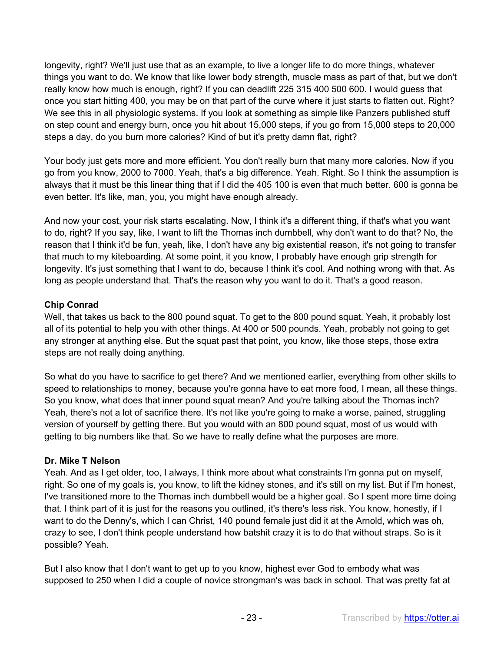longevity, right? We'll just use that as an example, to live a longer life to do more things, whatever things you want to do. We know that like lower body strength, muscle mass as part of that, but we don't really know how much is enough, right? If you can deadlift 225 315 400 500 600. I would guess that once you start hitting 400, you may be on that part of the curve where it just starts to flatten out. Right? We see this in all physiologic systems. If you look at something as simple like Panzers published stuff on step count and energy burn, once you hit about 15,000 steps, if you go from 15,000 steps to 20,000 steps a day, do you burn more calories? Kind of but it's pretty damn flat, right?

Your body just gets more and more efficient. You don't really burn that many more calories. Now if you go from you know, 2000 to 7000. Yeah, that's a big difference. Yeah. Right. So I think the assumption is always that it must be this linear thing that if I did the 405 100 is even that much better. 600 is gonna be even better. It's like, man, you, you might have enough already.

And now your cost, your risk starts escalating. Now, I think it's a different thing, if that's what you want to do, right? If you say, like, I want to lift the Thomas inch dumbbell, why don't want to do that? No, the reason that I think it'd be fun, yeah, like, I don't have any big existential reason, it's not going to transfer that much to my kiteboarding. At some point, it you know, I probably have enough grip strength for longevity. It's just something that I want to do, because I think it's cool. And nothing wrong with that. As long as people understand that. That's the reason why you want to do it. That's a good reason.

# **Chip Conrad**

Well, that takes us back to the 800 pound squat. To get to the 800 pound squat. Yeah, it probably lost all of its potential to help you with other things. At 400 or 500 pounds. Yeah, probably not going to get any stronger at anything else. But the squat past that point, you know, like those steps, those extra steps are not really doing anything.

So what do you have to sacrifice to get there? And we mentioned earlier, everything from other skills to speed to relationships to money, because you're gonna have to eat more food, I mean, all these things. So you know, what does that inner pound squat mean? And you're talking about the Thomas inch? Yeah, there's not a lot of sacrifice there. It's not like you're going to make a worse, pained, struggling version of yourself by getting there. But you would with an 800 pound squat, most of us would with getting to big numbers like that. So we have to really define what the purposes are more.

# **Dr. Mike T Nelson**

Yeah. And as I get older, too, I always, I think more about what constraints I'm gonna put on myself, right. So one of my goals is, you know, to lift the kidney stones, and it's still on my list. But if I'm honest, I've transitioned more to the Thomas inch dumbbell would be a higher goal. So I spent more time doing that. I think part of it is just for the reasons you outlined, it's there's less risk. You know, honestly, if I want to do the Denny's, which I can Christ, 140 pound female just did it at the Arnold, which was oh, crazy to see, I don't think people understand how batshit crazy it is to do that without straps. So is it possible? Yeah.

But I also know that I don't want to get up to you know, highest ever God to embody what was supposed to 250 when I did a couple of novice strongman's was back in school. That was pretty fat at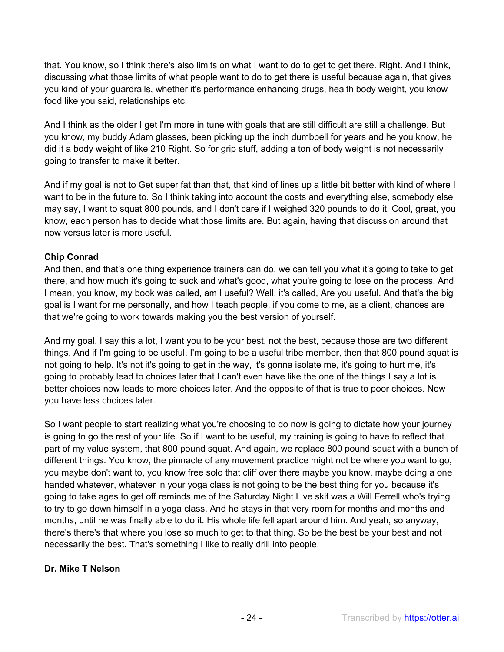that. You know, so I think there's also limits on what I want to do to get to get there. Right. And I think, discussing what those limits of what people want to do to get there is useful because again, that gives you kind of your guardrails, whether it's performance enhancing drugs, health body weight, you know food like you said, relationships etc.

And I think as the older I get I'm more in tune with goals that are still difficult are still a challenge. But you know, my buddy Adam glasses, been picking up the inch dumbbell for years and he you know, he did it a body weight of like 210 Right. So for grip stuff, adding a ton of body weight is not necessarily going to transfer to make it better.

And if my goal is not to Get super fat than that, that kind of lines up a little bit better with kind of where I want to be in the future to. So I think taking into account the costs and everything else, somebody else may say, I want to squat 800 pounds, and I don't care if I weighed 320 pounds to do it. Cool, great, you know, each person has to decide what those limits are. But again, having that discussion around that now versus later is more useful.

# **Chip Conrad**

And then, and that's one thing experience trainers can do, we can tell you what it's going to take to get there, and how much it's going to suck and what's good, what you're going to lose on the process. And I mean, you know, my book was called, am I useful? Well, it's called, Are you useful. And that's the big goal is I want for me personally, and how I teach people, if you come to me, as a client, chances are that we're going to work towards making you the best version of yourself.

And my goal, I say this a lot, I want you to be your best, not the best, because those are two different things. And if I'm going to be useful, I'm going to be a useful tribe member, then that 800 pound squat is not going to help. It's not it's going to get in the way, it's gonna isolate me, it's going to hurt me, it's going to probably lead to choices later that I can't even have like the one of the things I say a lot is better choices now leads to more choices later. And the opposite of that is true to poor choices. Now you have less choices later.

So I want people to start realizing what you're choosing to do now is going to dictate how your journey is going to go the rest of your life. So if I want to be useful, my training is going to have to reflect that part of my value system, that 800 pound squat. And again, we replace 800 pound squat with a bunch of different things. You know, the pinnacle of any movement practice might not be where you want to go, you maybe don't want to, you know free solo that cliff over there maybe you know, maybe doing a one handed whatever, whatever in your yoga class is not going to be the best thing for you because it's going to take ages to get off reminds me of the Saturday Night Live skit was a Will Ferrell who's trying to try to go down himself in a yoga class. And he stays in that very room for months and months and months, until he was finally able to do it. His whole life fell apart around him. And yeah, so anyway, there's there's that where you lose so much to get to that thing. So be the best be your best and not necessarily the best. That's something I like to really drill into people.

# **Dr. Mike T Nelson**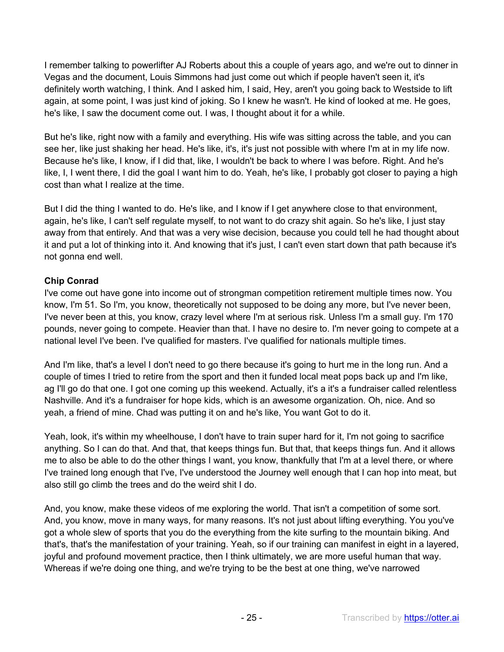I remember talking to powerlifter AJ Roberts about this a couple of years ago, and we're out to dinner in Vegas and the document, Louis Simmons had just come out which if people haven't seen it, it's definitely worth watching, I think. And I asked him, I said, Hey, aren't you going back to Westside to lift again, at some point, I was just kind of joking. So I knew he wasn't. He kind of looked at me. He goes, he's like, I saw the document come out. I was, I thought about it for a while.

But he's like, right now with a family and everything. His wife was sitting across the table, and you can see her, like just shaking her head. He's like, it's, it's just not possible with where I'm at in my life now. Because he's like, I know, if I did that, like, I wouldn't be back to where I was before. Right. And he's like, I, I went there, I did the goal I want him to do. Yeah, he's like, I probably got closer to paying a high cost than what I realize at the time.

But I did the thing I wanted to do. He's like, and I know if I get anywhere close to that environment, again, he's like, I can't self regulate myself, to not want to do crazy shit again. So he's like, I just stay away from that entirely. And that was a very wise decision, because you could tell he had thought about it and put a lot of thinking into it. And knowing that it's just, I can't even start down that path because it's not gonna end well.

# **Chip Conrad**

I've come out have gone into income out of strongman competition retirement multiple times now. You know, I'm 51. So I'm, you know, theoretically not supposed to be doing any more, but I've never been, I've never been at this, you know, crazy level where I'm at serious risk. Unless I'm a small guy. I'm 170 pounds, never going to compete. Heavier than that. I have no desire to. I'm never going to compete at a national level I've been. I've qualified for masters. I've qualified for nationals multiple times.

And I'm like, that's a level I don't need to go there because it's going to hurt me in the long run. And a couple of times I tried to retire from the sport and then it funded local meat pops back up and I'm like, ag I'll go do that one. I got one coming up this weekend. Actually, it's a it's a fundraiser called relentless Nashville. And it's a fundraiser for hope kids, which is an awesome organization. Oh, nice. And so yeah, a friend of mine. Chad was putting it on and he's like, You want Got to do it.

Yeah, look, it's within my wheelhouse, I don't have to train super hard for it, I'm not going to sacrifice anything. So I can do that. And that, that keeps things fun. But that, that keeps things fun. And it allows me to also be able to do the other things I want, you know, thankfully that I'm at a level there, or where I've trained long enough that I've, I've understood the Journey well enough that I can hop into meat, but also still go climb the trees and do the weird shit I do.

And, you know, make these videos of me exploring the world. That isn't a competition of some sort. And, you know, move in many ways, for many reasons. It's not just about lifting everything. You you've got a whole slew of sports that you do the everything from the kite surfing to the mountain biking. And that's, that's the manifestation of your training. Yeah, so if our training can manifest in eight in a layered, joyful and profound movement practice, then I think ultimately, we are more useful human that way. Whereas if we're doing one thing, and we're trying to be the best at one thing, we've narrowed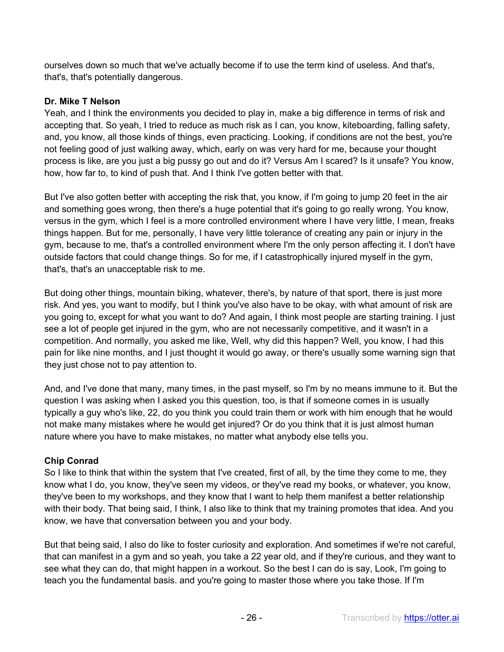ourselves down so much that we've actually become if to use the term kind of useless. And that's, that's, that's potentially dangerous.

# **Dr. Mike T Nelson**

Yeah, and I think the environments you decided to play in, make a big difference in terms of risk and accepting that. So yeah, I tried to reduce as much risk as I can, you know, kiteboarding, falling safety, and, you know, all those kinds of things, even practicing. Looking, if conditions are not the best, you're not feeling good of just walking away, which, early on was very hard for me, because your thought process is like, are you just a big pussy go out and do it? Versus Am I scared? Is it unsafe? You know, how, how far to, to kind of push that. And I think I've gotten better with that.

But I've also gotten better with accepting the risk that, you know, if I'm going to jump 20 feet in the air and something goes wrong, then there's a huge potential that it's going to go really wrong. You know, versus in the gym, which I feel is a more controlled environment where I have very little, I mean, freaks things happen. But for me, personally, I have very little tolerance of creating any pain or injury in the gym, because to me, that's a controlled environment where I'm the only person affecting it. I don't have outside factors that could change things. So for me, if I catastrophically injured myself in the gym, that's, that's an unacceptable risk to me.

But doing other things, mountain biking, whatever, there's, by nature of that sport, there is just more risk. And yes, you want to modify, but I think you've also have to be okay, with what amount of risk are you going to, except for what you want to do? And again, I think most people are starting training. I just see a lot of people get injured in the gym, who are not necessarily competitive, and it wasn't in a competition. And normally, you asked me like, Well, why did this happen? Well, you know, I had this pain for like nine months, and I just thought it would go away, or there's usually some warning sign that they just chose not to pay attention to.

And, and I've done that many, many times, in the past myself, so I'm by no means immune to it. But the question I was asking when I asked you this question, too, is that if someone comes in is usually typically a guy who's like, 22, do you think you could train them or work with him enough that he would not make many mistakes where he would get injured? Or do you think that it is just almost human nature where you have to make mistakes, no matter what anybody else tells you.

# **Chip Conrad**

So I like to think that within the system that I've created, first of all, by the time they come to me, they know what I do, you know, they've seen my videos, or they've read my books, or whatever, you know, they've been to my workshops, and they know that I want to help them manifest a better relationship with their body. That being said, I think, I also like to think that my training promotes that idea. And you know, we have that conversation between you and your body.

But that being said, I also do like to foster curiosity and exploration. And sometimes if we're not careful, that can manifest in a gym and so yeah, you take a 22 year old, and if they're curious, and they want to see what they can do, that might happen in a workout. So the best I can do is say, Look, I'm going to teach you the fundamental basis. and you're going to master those where you take those. If I'm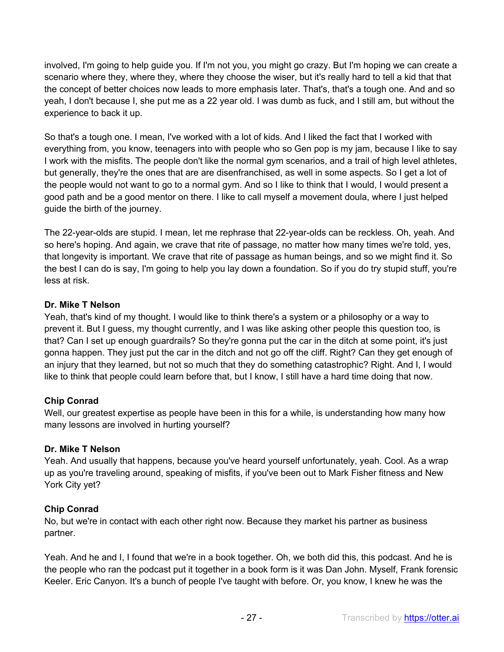involved, I'm going to help guide you. If I'm not you, you might go crazy. But I'm hoping we can create a scenario where they, where they, where they choose the wiser, but it's really hard to tell a kid that that the concept of better choices now leads to more emphasis later. That's, that's a tough one. And and so yeah, I don't because I, she put me as a 22 year old. I was dumb as fuck, and I still am, but without the experience to back it up.

So that's a tough one. I mean, I've worked with a lot of kids. And I liked the fact that I worked with everything from, you know, teenagers into with people who so Gen pop is my jam, because I like to say I work with the misfits. The people don't like the normal gym scenarios, and a trail of high level athletes, but generally, they're the ones that are are disenfranchised, as well in some aspects. So I get a lot of the people would not want to go to a normal gym. And so I like to think that I would, I would present a good path and be a good mentor on there. I like to call myself a movement doula, where I just helped guide the birth of the journey.

The 22-year-olds are stupid. I mean, let me rephrase that 22-year-olds can be reckless. Oh, yeah. And so here's hoping. And again, we crave that rite of passage, no matter how many times we're told, yes, that longevity is important. We crave that rite of passage as human beings, and so we might find it. So the best I can do is say, I'm going to help you lay down a foundation. So if you do try stupid stuff, you're less at risk.

### **Dr. Mike T Nelson**

Yeah, that's kind of my thought. I would like to think there's a system or a philosophy or a way to prevent it. But I guess, my thought currently, and I was like asking other people this question too, is that? Can I set up enough guardrails? So they're gonna put the car in the ditch at some point, it's just gonna happen. They just put the car in the ditch and not go off the cliff. Right? Can they get enough of an injury that they learned, but not so much that they do something catastrophic? Right. And I, I would like to think that people could learn before that, but I know, I still have a hard time doing that now.

# **Chip Conrad**

Well, our greatest expertise as people have been in this for a while, is understanding how many how many lessons are involved in hurting yourself?

#### **Dr. Mike T Nelson**

Yeah. And usually that happens, because you've heard yourself unfortunately, yeah. Cool. As a wrap up as you're traveling around, speaking of misfits, if you've been out to Mark Fisher fitness and New York City yet?

#### **Chip Conrad**

No, but we're in contact with each other right now. Because they market his partner as business partner.

Yeah. And he and I, I found that we're in a book together. Oh, we both did this, this podcast. And he is the people who ran the podcast put it together in a book form is it was Dan John. Myself, Frank forensic Keeler. Eric Canyon. It's a bunch of people I've taught with before. Or, you know, I knew he was the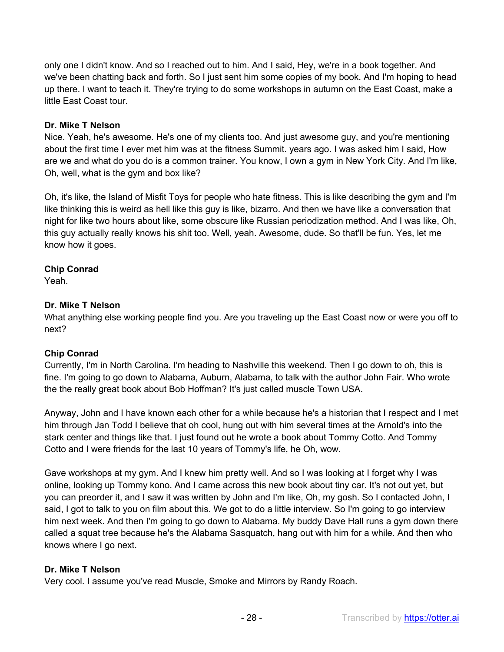only one I didn't know. And so I reached out to him. And I said, Hey, we're in a book together. And we've been chatting back and forth. So I just sent him some copies of my book. And I'm hoping to head up there. I want to teach it. They're trying to do some workshops in autumn on the East Coast, make a little East Coast tour.

#### **Dr. Mike T Nelson**

Nice. Yeah, he's awesome. He's one of my clients too. And just awesome guy, and you're mentioning about the first time I ever met him was at the fitness Summit. years ago. I was asked him I said, How are we and what do you do is a common trainer. You know, I own a gym in New York City. And I'm like, Oh, well, what is the gym and box like?

Oh, it's like, the Island of Misfit Toys for people who hate fitness. This is like describing the gym and I'm like thinking this is weird as hell like this guy is like, bizarro. And then we have like a conversation that night for like two hours about like, some obscure like Russian periodization method. And I was like, Oh, this guy actually really knows his shit too. Well, yeah. Awesome, dude. So that'll be fun. Yes, let me know how it goes.

### **Chip Conrad**

Yeah.

### **Dr. Mike T Nelson**

What anything else working people find you. Are you traveling up the East Coast now or were you off to next?

# **Chip Conrad**

Currently, I'm in North Carolina. I'm heading to Nashville this weekend. Then I go down to oh, this is fine. I'm going to go down to Alabama, Auburn, Alabama, to talk with the author John Fair. Who wrote the the really great book about Bob Hoffman? It's just called muscle Town USA.

Anyway, John and I have known each other for a while because he's a historian that I respect and I met him through Jan Todd I believe that oh cool, hung out with him several times at the Arnold's into the stark center and things like that. I just found out he wrote a book about Tommy Cotto. And Tommy Cotto and I were friends for the last 10 years of Tommy's life, he Oh, wow.

Gave workshops at my gym. And I knew him pretty well. And so I was looking at I forget why I was online, looking up Tommy kono. And I came across this new book about tiny car. It's not out yet, but you can preorder it, and I saw it was written by John and I'm like, Oh, my gosh. So I contacted John, I said, I got to talk to you on film about this. We got to do a little interview. So I'm going to go interview him next week. And then I'm going to go down to Alabama. My buddy Dave Hall runs a gym down there called a squat tree because he's the Alabama Sasquatch, hang out with him for a while. And then who knows where I go next.

#### **Dr. Mike T Nelson**

Very cool. I assume you've read Muscle, Smoke and Mirrors by Randy Roach.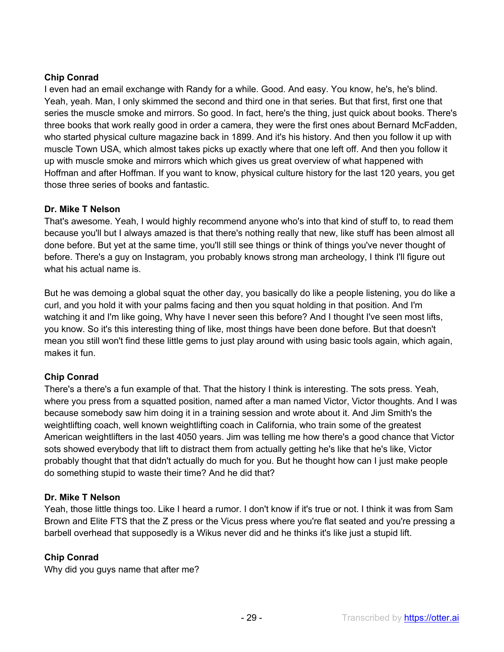# **Chip Conrad**

I even had an email exchange with Randy for a while. Good. And easy. You know, he's, he's blind. Yeah, yeah. Man, I only skimmed the second and third one in that series. But that first, first one that series the muscle smoke and mirrors. So good. In fact, here's the thing, just quick about books. There's three books that work really good in order a camera, they were the first ones about Bernard McFadden, who started physical culture magazine back in 1899. And it's his history. And then you follow it up with muscle Town USA, which almost takes picks up exactly where that one left off. And then you follow it up with muscle smoke and mirrors which which gives us great overview of what happened with Hoffman and after Hoffman. If you want to know, physical culture history for the last 120 years, you get those three series of books and fantastic.

# **Dr. Mike T Nelson**

That's awesome. Yeah, I would highly recommend anyone who's into that kind of stuff to, to read them because you'll but I always amazed is that there's nothing really that new, like stuff has been almost all done before. But yet at the same time, you'll still see things or think of things you've never thought of before. There's a guy on Instagram, you probably knows strong man archeology, I think I'll figure out what his actual name is.

But he was demoing a global squat the other day, you basically do like a people listening, you do like a curl, and you hold it with your palms facing and then you squat holding in that position. And I'm watching it and I'm like going, Why have I never seen this before? And I thought I've seen most lifts, you know. So it's this interesting thing of like, most things have been done before. But that doesn't mean you still won't find these little gems to just play around with using basic tools again, which again, makes it fun.

# **Chip Conrad**

There's a there's a fun example of that. That the history I think is interesting. The sots press. Yeah, where you press from a squatted position, named after a man named Victor, Victor thoughts. And I was because somebody saw him doing it in a training session and wrote about it. And Jim Smith's the weightlifting coach, well known weightlifting coach in California, who train some of the greatest American weightlifters in the last 4050 years. Jim was telling me how there's a good chance that Victor sots showed everybody that lift to distract them from actually getting he's like that he's like, Victor probably thought that that didn't actually do much for you. But he thought how can I just make people do something stupid to waste their time? And he did that?

# **Dr. Mike T Nelson**

Yeah, those little things too. Like I heard a rumor. I don't know if it's true or not. I think it was from Sam Brown and Elite FTS that the Z press or the Vicus press where you're flat seated and you're pressing a barbell overhead that supposedly is a Wikus never did and he thinks it's like just a stupid lift.

# **Chip Conrad**

Why did you guys name that after me?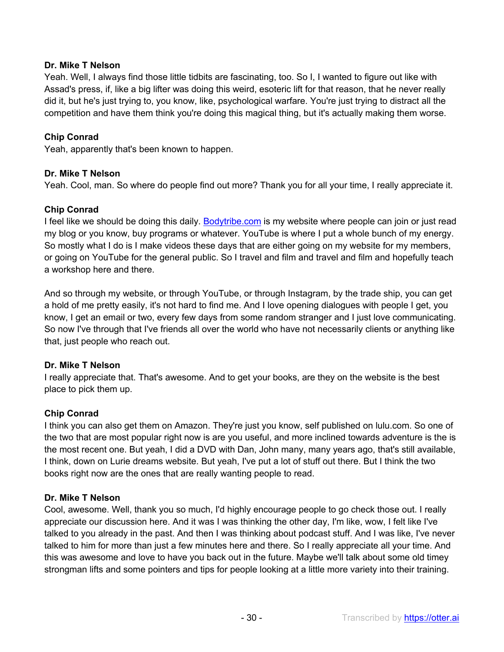### **Dr. Mike T Nelson**

Yeah. Well, I always find those little tidbits are fascinating, too. So I, I wanted to figure out like with Assad's press, if, like a big lifter was doing this weird, esoteric lift for that reason, that he never really did it, but he's just trying to, you know, like, psychological warfare. You're just trying to distract all the competition and have them think you're doing this magical thing, but it's actually making them worse.

### **Chip Conrad**

Yeah, apparently that's been known to happen.

### **Dr. Mike T Nelson**

Yeah. Cool, man. So where do people find out more? Thank you for all your time, I really appreciate it.

### **Chip Conrad**

I feel like we should be doing this daily. Bodytribe.com is my website where people can join or just read my blog or you know, buy programs or whatever. YouTube is where I put a whole bunch of my energy. So mostly what I do is I make videos these days that are either going on my website for my members, or going on YouTube for the general public. So I travel and film and travel and film and hopefully teach a workshop here and there.

And so through my website, or through YouTube, or through Instagram, by the trade ship, you can get a hold of me pretty easily, it's not hard to find me. And I love opening dialogues with people I get, you know, I get an email or two, every few days from some random stranger and I just love communicating. So now I've through that I've friends all over the world who have not necessarily clients or anything like that, just people who reach out.

#### **Dr. Mike T Nelson**

I really appreciate that. That's awesome. And to get your books, are they on the website is the best place to pick them up.

# **Chip Conrad**

I think you can also get them on Amazon. They're just you know, self published on lulu.com. So one of the two that are most popular right now is are you useful, and more inclined towards adventure is the is the most recent one. But yeah, I did a DVD with Dan, John many, many years ago, that's still available, I think, down on Lurie dreams website. But yeah, I've put a lot of stuff out there. But I think the two books right now are the ones that are really wanting people to read.

#### **Dr. Mike T Nelson**

Cool, awesome. Well, thank you so much, I'd highly encourage people to go check those out. I really appreciate our discussion here. And it was I was thinking the other day, I'm like, wow, I felt like I've talked to you already in the past. And then I was thinking about podcast stuff. And I was like, I've never talked to him for more than just a few minutes here and there. So I really appreciate all your time. And this was awesome and love to have you back out in the future. Maybe we'll talk about some old timey strongman lifts and some pointers and tips for people looking at a little more variety into their training.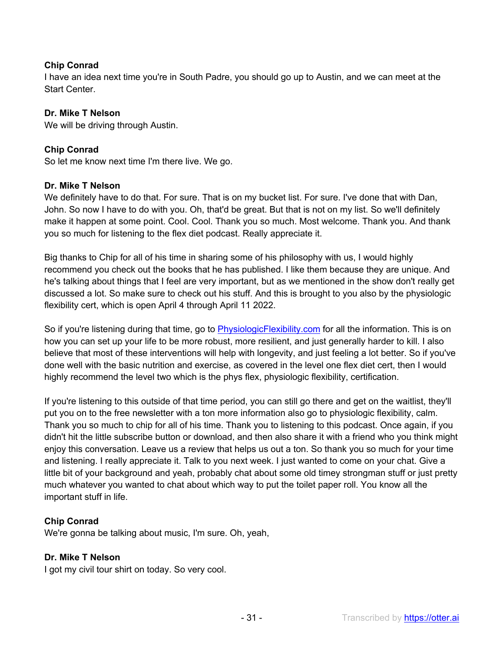### **Chip Conrad**

I have an idea next time you're in South Padre, you should go up to Austin, and we can meet at the Start Center.

#### **Dr. Mike T Nelson**

We will be driving through Austin.

### **Chip Conrad**

So let me know next time I'm there live. We go.

#### **Dr. Mike T Nelson**

We definitely have to do that. For sure. That is on my bucket list. For sure. I've done that with Dan, John. So now I have to do with you. Oh, that'd be great. But that is not on my list. So we'll definitely make it happen at some point. Cool. Cool. Thank you so much. Most welcome. Thank you. And thank you so much for listening to the flex diet podcast. Really appreciate it.

Big thanks to Chip for all of his time in sharing some of his philosophy with us, I would highly recommend you check out the books that he has published. I like them because they are unique. And he's talking about things that I feel are very important, but as we mentioned in the show don't really get discussed a lot. So make sure to check out his stuff. And this is brought to you also by the physiologic flexibility cert, which is open April 4 through April 11 2022.

So if you're listening during that time, go to PhysiologicFlexibility.com for all the information. This is on how you can set up your life to be more robust, more resilient, and just generally harder to kill. I also believe that most of these interventions will help with longevity, and just feeling a lot better. So if you've done well with the basic nutrition and exercise, as covered in the level one flex diet cert, then I would highly recommend the level two which is the phys flex, physiologic flexibility, certification.

If you're listening to this outside of that time period, you can still go there and get on the waitlist, they'll put you on to the free newsletter with a ton more information also go to physiologic flexibility, calm. Thank you so much to chip for all of his time. Thank you to listening to this podcast. Once again, if you didn't hit the little subscribe button or download, and then also share it with a friend who you think might enjoy this conversation. Leave us a review that helps us out a ton. So thank you so much for your time and listening. I really appreciate it. Talk to you next week. I just wanted to come on your chat. Give a little bit of your background and yeah, probably chat about some old timey strongman stuff or just pretty much whatever you wanted to chat about which way to put the toilet paper roll. You know all the important stuff in life.

# **Chip Conrad**

We're gonna be talking about music, I'm sure. Oh, yeah,

#### **Dr. Mike T Nelson**

I got my civil tour shirt on today. So very cool.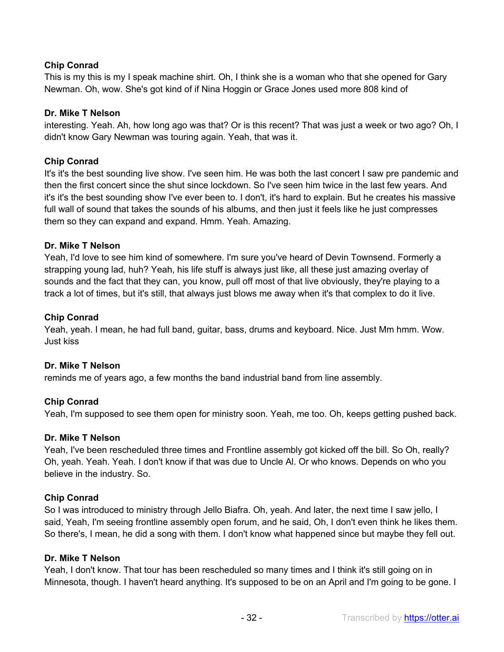# **Chip Conrad**

This is my this is my I speak machine shirt. Oh, I think she is a woman who that she opened for Gary Newman. Oh, wow. She's got kind of if Nina Hoggin or Grace Jones used more 808 kind of

#### **Dr. Mike T Nelson**

interesting. Yeah. Ah, how long ago was that? Or is this recent? That was just a week or two ago? Oh, I didn't know Gary Newman was touring again. Yeah, that was it.

#### **Chip Conrad**

It's it's the best sounding live show. I've seen him. He was both the last concert I saw pre pandemic and then the first concert since the shut since lockdown. So I've seen him twice in the last few years. And it's it's the best sounding show I've ever been to. I don't, it's hard to explain. But he creates his massive full wall of sound that takes the sounds of his albums, and then just it feels like he just compresses them so they can expand and expand. Hmm. Yeah. Amazing.

#### **Dr. Mike T Nelson**

Yeah, I'd love to see him kind of somewhere. I'm sure you've heard of Devin Townsend. Formerly a strapping young lad, huh? Yeah, his life stuff is always just like, all these just amazing overlay of sounds and the fact that they can, you know, pull off most of that live obviously, they're playing to a track a lot of times, but it's still, that always just blows me away when it's that complex to do it live.

#### **Chip Conrad**

Yeah, yeah. I mean, he had full band, guitar, bass, drums and keyboard. Nice. Just Mm hmm. Wow. Just kiss

#### **Dr. Mike T Nelson**

reminds me of years ago, a few months the band industrial band from line assembly.

#### **Chip Conrad**

Yeah, I'm supposed to see them open for ministry soon. Yeah, me too. Oh, keeps getting pushed back.

#### **Dr. Mike T Nelson**

Yeah, I've been rescheduled three times and Frontline assembly got kicked off the bill. So Oh, really? Oh, yeah. Yeah. Yeah. I don't know if that was due to Uncle Al. Or who knows. Depends on who you believe in the industry. So.

#### **Chip Conrad**

So I was introduced to ministry through Jello Biafra. Oh, yeah. And later, the next time I saw jello, I said, Yeah, I'm seeing frontline assembly open forum, and he said, Oh, I don't even think he likes them. So there's, I mean, he did a song with them. I don't know what happened since but maybe they fell out.

#### **Dr. Mike T Nelson**

Yeah, I don't know. That tour has been rescheduled so many times and I think it's still going on in Minnesota, though. I haven't heard anything. It's supposed to be on an April and I'm going to be gone. I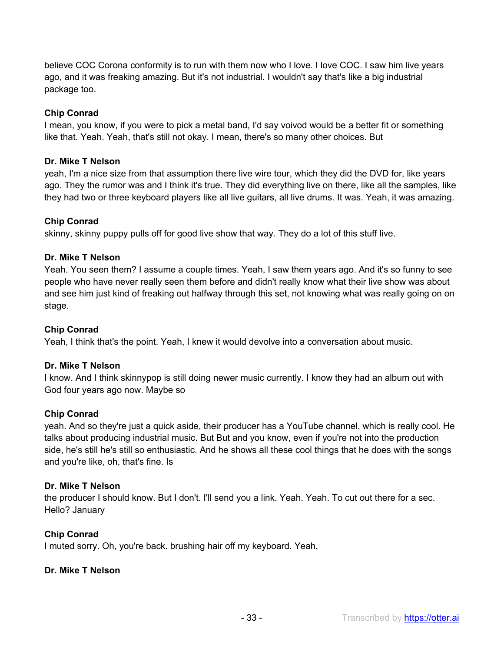believe COC Corona conformity is to run with them now who I love. I love COC. I saw him live years ago, and it was freaking amazing. But it's not industrial. I wouldn't say that's like a big industrial package too.

### **Chip Conrad**

I mean, you know, if you were to pick a metal band, I'd say voivod would be a better fit or something like that. Yeah. Yeah, that's still not okay. I mean, there's so many other choices. But

#### **Dr. Mike T Nelson**

yeah, I'm a nice size from that assumption there live wire tour, which they did the DVD for, like years ago. They the rumor was and I think it's true. They did everything live on there, like all the samples, like they had two or three keyboard players like all live guitars, all live drums. It was. Yeah, it was amazing.

# **Chip Conrad**

skinny, skinny puppy pulls off for good live show that way. They do a lot of this stuff live.

### **Dr. Mike T Nelson**

Yeah. You seen them? I assume a couple times. Yeah, I saw them years ago. And it's so funny to see people who have never really seen them before and didn't really know what their live show was about and see him just kind of freaking out halfway through this set, not knowing what was really going on on stage.

#### **Chip Conrad**

Yeah, I think that's the point. Yeah, I knew it would devolve into a conversation about music.

#### **Dr. Mike T Nelson**

I know. And I think skinnypop is still doing newer music currently. I know they had an album out with God four years ago now. Maybe so

#### **Chip Conrad**

yeah. And so they're just a quick aside, their producer has a YouTube channel, which is really cool. He talks about producing industrial music. But But and you know, even if you're not into the production side, he's still he's still so enthusiastic. And he shows all these cool things that he does with the songs and you're like, oh, that's fine. Is

#### **Dr. Mike T Nelson**

the producer I should know. But I don't. I'll send you a link. Yeah. Yeah. To cut out there for a sec. Hello? January

# **Chip Conrad**

I muted sorry. Oh, you're back. brushing hair off my keyboard. Yeah,

#### **Dr. Mike T Nelson**